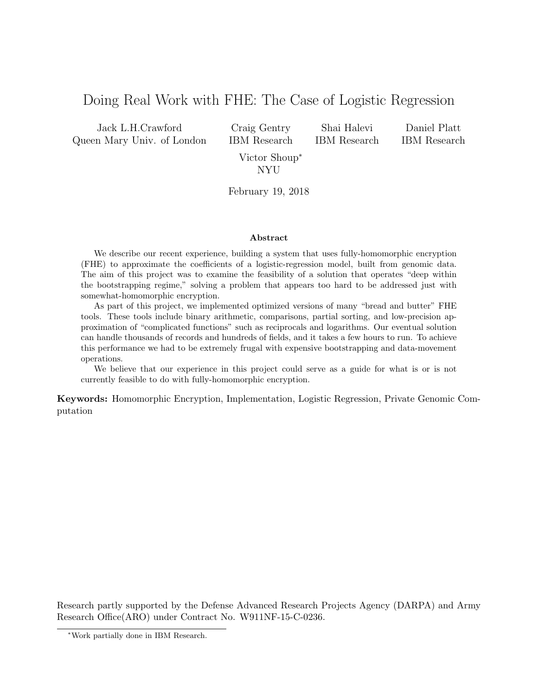# Doing Real Work with FHE: The Case of Logistic Regression

Jack L.H.Crawford Queen Mary Univ. of London

Craig Gentry IBM Research

Shai Halevi IBM Research

Daniel Platt IBM Research

Victor Shoup<sup>∗</sup> NYU

February 19, 2018

#### Abstract

We describe our recent experience, building a system that uses fully-homomorphic encryption (FHE) to approximate the coefficients of a logistic-regression model, built from genomic data. The aim of this project was to examine the feasibility of a solution that operates "deep within the bootstrapping regime," solving a problem that appears too hard to be addressed just with somewhat-homomorphic encryption.

As part of this project, we implemented optimized versions of many "bread and butter" FHE tools. These tools include binary arithmetic, comparisons, partial sorting, and low-precision approximation of "complicated functions" such as reciprocals and logarithms. Our eventual solution can handle thousands of records and hundreds of fields, and it takes a few hours to run. To achieve this performance we had to be extremely frugal with expensive bootstrapping and data-movement operations.

We believe that our experience in this project could serve as a guide for what is or is not currently feasible to do with fully-homomorphic encryption.

Keywords: Homomorphic Encryption, Implementation, Logistic Regression, Private Genomic Computation

Research partly supported by the Defense Advanced Research Projects Agency (DARPA) and Army Research Office(ARO) under Contract No. W911NF-15-C-0236.

<sup>∗</sup>Work partially done in IBM Research.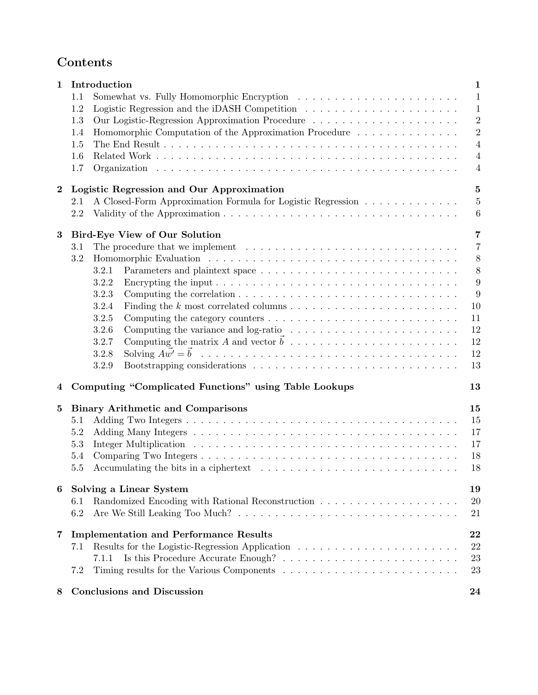# Contents

| $\mathbf 1$ |     | Introduction<br>$\mathbf{1}$                                                                                 |                  |  |  |  |  |  |  |  |  |  |  |
|-------------|-----|--------------------------------------------------------------------------------------------------------------|------------------|--|--|--|--|--|--|--|--|--|--|
|             | 1.1 |                                                                                                              | $\mathbf{1}$     |  |  |  |  |  |  |  |  |  |  |
|             | 1.2 |                                                                                                              | $\mathbf{1}$     |  |  |  |  |  |  |  |  |  |  |
|             | 1.3 |                                                                                                              | $\overline{2}$   |  |  |  |  |  |  |  |  |  |  |
|             | 1.4 | Homomorphic Computation of the Approximation Procedure                                                       | $\overline{2}$   |  |  |  |  |  |  |  |  |  |  |
|             | 1.5 |                                                                                                              | $\overline{4}$   |  |  |  |  |  |  |  |  |  |  |
|             | 1.6 |                                                                                                              | $\overline{4}$   |  |  |  |  |  |  |  |  |  |  |
|             | 1.7 |                                                                                                              | $\overline{4}$   |  |  |  |  |  |  |  |  |  |  |
| $\bf{2}$    |     | Logistic Regression and Our Approximation                                                                    | $\overline{5}$   |  |  |  |  |  |  |  |  |  |  |
|             | 2.1 | A Closed-Form Approximation Formula for Logistic Regression                                                  | $\overline{5}$   |  |  |  |  |  |  |  |  |  |  |
|             | 2.2 |                                                                                                              | $\,6\,$          |  |  |  |  |  |  |  |  |  |  |
| $\bf{3}$    |     | Bird-Eye View of Our Solution                                                                                | $\overline{7}$   |  |  |  |  |  |  |  |  |  |  |
|             | 3.1 |                                                                                                              | $\overline{7}$   |  |  |  |  |  |  |  |  |  |  |
|             | 3.2 |                                                                                                              | $8\,$            |  |  |  |  |  |  |  |  |  |  |
|             |     | 3.2.1                                                                                                        | $8\,$            |  |  |  |  |  |  |  |  |  |  |
|             |     | Encrypting the input $\ldots \ldots \ldots \ldots \ldots \ldots \ldots \ldots \ldots \ldots \ldots$<br>3.2.2 | $\boldsymbol{9}$ |  |  |  |  |  |  |  |  |  |  |
|             |     | 3.2.3                                                                                                        | 9                |  |  |  |  |  |  |  |  |  |  |
|             |     | 3.2.4                                                                                                        | 10               |  |  |  |  |  |  |  |  |  |  |
|             |     | 3.2.5                                                                                                        | 11               |  |  |  |  |  |  |  |  |  |  |
|             |     | 3.2.6<br>Computing the variance and log-ratio $\dots \dots \dots \dots \dots \dots \dots \dots$              | 12               |  |  |  |  |  |  |  |  |  |  |
|             |     | 3.2.7                                                                                                        | 12               |  |  |  |  |  |  |  |  |  |  |
|             |     | 3.2.8                                                                                                        | 12               |  |  |  |  |  |  |  |  |  |  |
|             |     | 3.2.9                                                                                                        | 13               |  |  |  |  |  |  |  |  |  |  |
| 4           |     | Computing "Complicated Functions" using Table Lookups                                                        | 13               |  |  |  |  |  |  |  |  |  |  |
| $\bf{5}$    |     | <b>Binary Arithmetic and Comparisons</b>                                                                     | 15               |  |  |  |  |  |  |  |  |  |  |
|             | 5.1 |                                                                                                              | 15               |  |  |  |  |  |  |  |  |  |  |
|             | 5.2 |                                                                                                              | 17               |  |  |  |  |  |  |  |  |  |  |
|             | 5.3 |                                                                                                              | 17               |  |  |  |  |  |  |  |  |  |  |
|             | 5.4 |                                                                                                              | 18               |  |  |  |  |  |  |  |  |  |  |
|             | 5.5 | Accumulating the bits in a ciphertext $\dots \dots \dots \dots \dots \dots \dots \dots \dots \dots \dots$    | 18               |  |  |  |  |  |  |  |  |  |  |
| 6           |     | Solving a Linear System                                                                                      | 19               |  |  |  |  |  |  |  |  |  |  |
|             | 6.1 |                                                                                                              | $20\,$           |  |  |  |  |  |  |  |  |  |  |
|             | 6.2 |                                                                                                              | 21               |  |  |  |  |  |  |  |  |  |  |
| 7           |     | <b>Implementation and Performance Results</b>                                                                | 22               |  |  |  |  |  |  |  |  |  |  |
|             | 7.1 | Results for the Logistic-Regression Application                                                              | 22               |  |  |  |  |  |  |  |  |  |  |
|             |     | 7.1.1                                                                                                        | 23               |  |  |  |  |  |  |  |  |  |  |
|             | 7.2 |                                                                                                              | 23               |  |  |  |  |  |  |  |  |  |  |
| 8           |     | <b>Conclusions and Discussion</b>                                                                            | 24               |  |  |  |  |  |  |  |  |  |  |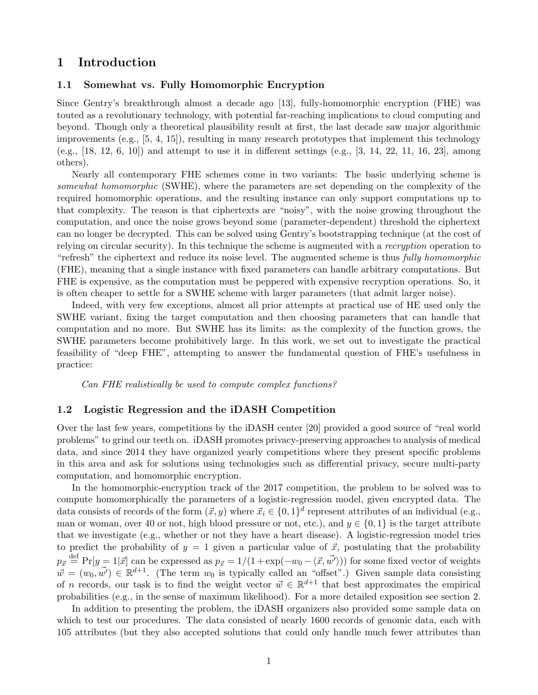### 1 Introduction

#### 1.1 Somewhat vs. Fully Homomorphic Encryption

Since Gentry's breakthrough almost a decade ago [13], fully-homomorphic encryption (FHE) was touted as a revolutionary technology, with potential far-reaching implications to cloud computing and beyond. Though only a theoretical plausibility result at first, the last decade saw major algorithmic improvements (e.g., [5, 4, 15]), resulting in many research prototypes that implement this technology (e.g.,  $[18, 12, 6, 10]$ ) and attempt to use it in different settings (e.g.,  $[3, 14, 22, 11, 16, 23]$ , among others).

Nearly all contemporary FHE schemes come in two variants: The basic underlying scheme is somewhat homomorphic (SWHE), where the parameters are set depending on the complexity of the required homomorphic operations, and the resulting instance can only support computations up to that complexity. The reason is that ciphertexts are "noisy", with the noise growing throughout the computation, and once the noise grows beyond some (parameter-dependent) threshold the ciphertext can no longer be decrypted. This can be solved using Gentry's bootstrapping technique (at the cost of relying on circular security). In this technique the scheme is augmented with a *recryption* operation to "refresh" the ciphertext and reduce its noise level. The augmented scheme is thus *fully homomorphic* (FHE), meaning that a single instance with fixed parameters can handle arbitrary computations. But FHE is expensive, as the computation must be peppered with expensive recryption operations. So, it is often cheaper to settle for a SWHE scheme with larger parameters (that admit larger noise).

Indeed, with very few exceptions, almost all prior attempts at practical use of HE used only the SWHE variant, fixing the target computation and then choosing parameters that can handle that computation and no more. But SWHE has its limits: as the complexity of the function grows, the SWHE parameters become prohibitively large. In this work, we set out to investigate the practical feasibility of "deep FHE", attempting to answer the fundamental question of FHE's usefulness in practice:

Can FHE realistically be used to compute complex functions?

#### 1.2 Logistic Regression and the iDASH Competition

Over the last few years, competitions by the iDASH center [20] provided a good source of "real world problems" to grind our teeth on. iDASH promotes privacy-preserving approaches to analysis of medical data, and since 2014 they have organized yearly competitions where they present specific problems in this area and ask for solutions using technologies such as differential privacy, secure multi-party computation, and homomorphic encryption.

In the homomorphic-encryption track of the 2017 competition, the problem to be solved was to compute homomorphically the parameters of a logistic-regression model, given encrypted data. The data consists of records of the form  $(\vec{x}, y)$  where  $\vec{x}_i \in \{0, 1\}^d$  represent attributes of an individual (e.g., man or woman, over 40 or not, high blood pressure or not, etc.), and  $y \in \{0, 1\}$  is the target attribute that we investigate (e.g., whether or not they have a heart disease). A logistic-regression model tries to predict the probability of  $y = 1$  given a particular value of  $\vec{x}$ , postulating that the probability  $p_{\vec{x}} \stackrel{\text{def}}{=} \Pr[y=1|\vec{x}]$  can be expressed as  $p_{\vec{x}} = 1/(1 + \exp(-w_0 - \langle \vec{x}, \vec{w'} \rangle))$  for some fixed vector of weights  $\vec{w} = (w_0, \vec{w'}) \in \mathbb{R}^{d+1}$ . (The term  $w_0$  is typically called an "offset".) Given sample data consisting of *n* records, our task is to find the weight vector  $\vec{w} \in \mathbb{R}^{d+1}$  that best approximates the empirical probabilities (e.g., in the sense of maximum likelihood). For a more detailed exposition see section 2.

In addition to presenting the problem, the iDASH organizers also provided some sample data on which to test our procedures. The data consisted of nearly 1600 records of genomic data, each with 105 attributes (but they also accepted solutions that could only handle much fewer attributes than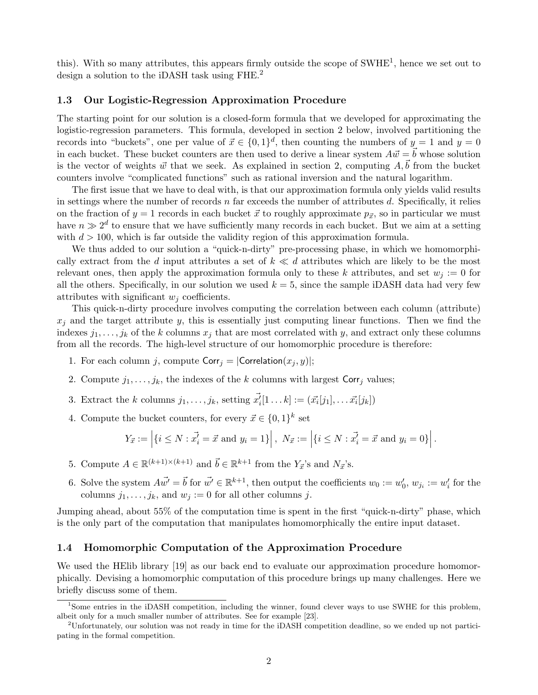this). With so many attributes, this appears firmly outside the scope of  $\text{SWHE}^1$ , hence we set out to design a solution to the iDASH task using FHE.<sup>2</sup>

#### 1.3 Our Logistic-Regression Approximation Procedure

The starting point for our solution is a closed-form formula that we developed for approximating the logistic-regression parameters. This formula, developed in section 2 below, involved partitioning the records into "buckets", one per value of  $\vec{x} \in \{0,1\}^d$ , then counting the numbers of  $y = 1$  and  $y = 0$ in each bucket. These bucket counters are then used to derive a linear system  $A\vec{w} = \vec{b}$  whose solution is the vector of weights  $\vec{w}$  that we seek. As explained in section 2, computing A, b from the bucket counters involve "complicated functions" such as rational inversion and the natural logarithm.

The first issue that we have to deal with, is that our approximation formula only yields valid results in settings where the number of records  $n$  far exceeds the number of attributes  $d$ . Specifically, it relies on the fraction of  $y = 1$  records in each bucket  $\vec{x}$  to roughly approximate  $p_{\vec{x}}$ , so in particular we must have  $n \gg 2^d$  to ensure that we have sufficiently many records in each bucket. But we aim at a setting with  $d > 100$ , which is far outside the validity region of this approximation formula.

We thus added to our solution a "quick-n-dirty" pre-processing phase, in which we homomorphically extract from the d input attributes a set of  $k \ll d$  attributes which are likely to be the most relevant ones, then apply the approximation formula only to these k attributes, and set  $w_j := 0$  for all the others. Specifically, in our solution we used  $k = 5$ , since the sample iDASH data had very few attributes with significant  $w_i$  coefficients.

This quick-n-dirty procedure involves computing the correlation between each column (attribute)  $x_j$  and the target attribute y, this is essentially just computing linear functions. Then we find the indexes  $j_1, \ldots, j_k$  of the k columns  $x_j$  that are most correlated with y, and extract only these columns from all the records. The high-level structure of our homomorphic procedure is therefore:

- 1. For each column j, compute  $\text{Corr}_i = |\text{Correlation}(x_i, y)|;$
- 2. Compute  $j_1, \ldots, j_k$ , the indexes of the k columns with largest Corr<sub>j</sub> values;
- 3. Extract the k columns  $j_1, \ldots, j_k$ , setting  $\vec{x_i}[1 \ldots k] := (\vec{x_i}[j_1], \ldots \vec{x_i}[j_k])$
- 4. Compute the bucket counters, for every  $\vec{x} \in \{0,1\}^k$  set

$$
Y_{\vec{x}} := \left| \{ i \leq N : \vec{x'_i} = \vec{x} \text{ and } y_i = 1 \} \right|, \ N_{\vec{x}} := \left| \{ i \leq N : \vec{x'_i} = \vec{x} \text{ and } y_i = 0 \} \right|.
$$

- 5. Compute  $A \in \mathbb{R}^{(k+1)\times (k+1)}$  and  $\vec{b} \in \mathbb{R}^{k+1}$  from the  $Y_{\vec{x}}$ 's and  $N_{\vec{x}}$ 's.
- 6. Solve the system  $A\vec{w'} = \vec{b}$  for  $\vec{w'} \in \mathbb{R}^{k+1}$ , then output the coefficients  $w_0 := w'_0, w_{j_i} := w'_i$  for the columns  $j_1, \ldots, j_k$ , and  $w_j := 0$  for all other columns j.

Jumping ahead, about 55% of the computation time is spent in the first "quick-n-dirty" phase, which is the only part of the computation that manipulates homomorphically the entire input dataset.

#### 1.4 Homomorphic Computation of the Approximation Procedure

We used the HEI library [19] as our back end to evaluate our approximation procedure homomorphically. Devising a homomorphic computation of this procedure brings up many challenges. Here we briefly discuss some of them.

<sup>&</sup>lt;sup>1</sup>Some entries in the iDASH competition, including the winner, found clever ways to use SWHE for this problem, albeit only for a much smaller number of attributes. See for example [23].

<sup>2</sup>Unfortunately, our solution was not ready in time for the iDASH competition deadline, so we ended up not participating in the formal competition.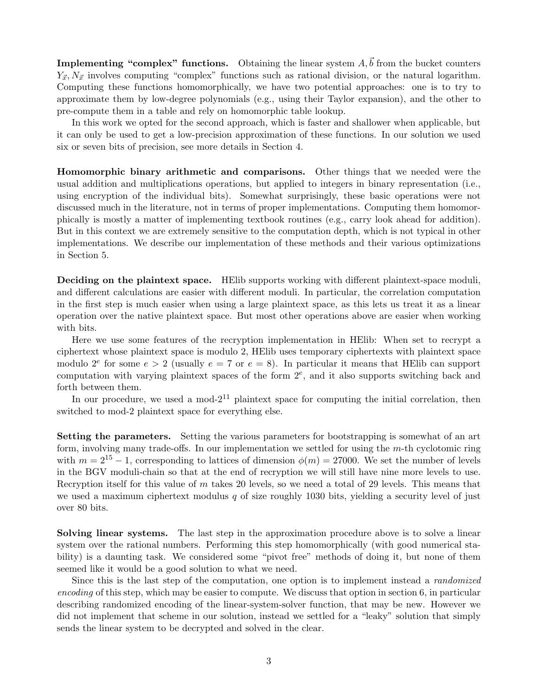**Implementing "complex" functions.** Obtaining the linear system  $A, \vec{b}$  from the bucket counters  $Y_{\vec{x}}, N_{\vec{x}}$  involves computing "complex" functions such as rational division, or the natural logarithm. Computing these functions homomorphically, we have two potential approaches: one is to try to approximate them by low-degree polynomials (e.g., using their Taylor expansion), and the other to pre-compute them in a table and rely on homomorphic table lookup.

In this work we opted for the second approach, which is faster and shallower when applicable, but it can only be used to get a low-precision approximation of these functions. In our solution we used six or seven bits of precision, see more details in Section 4.

Homomorphic binary arithmetic and comparisons. Other things that we needed were the usual addition and multiplications operations, but applied to integers in binary representation (i.e., using encryption of the individual bits). Somewhat surprisingly, these basic operations were not discussed much in the literature, not in terms of proper implementations. Computing them homomorphically is mostly a matter of implementing textbook routines (e.g., carry look ahead for addition). But in this context we are extremely sensitive to the computation depth, which is not typical in other implementations. We describe our implementation of these methods and their various optimizations in Section 5.

Deciding on the plaintext space. HElib supports working with different plaintext-space moduli, and different calculations are easier with different moduli. In particular, the correlation computation in the first step is much easier when using a large plaintext space, as this lets us treat it as a linear operation over the native plaintext space. But most other operations above are easier when working with bits.

Here we use some features of the recryption implementation in HElib: When set to recrypt a ciphertext whose plaintext space is modulo 2, HElib uses temporary ciphertexts with plaintext space modulo  $2^e$  for some  $e > 2$  (usually  $e = 7$  or  $e = 8$ ). In particular it means that HElib can support computation with varying plaintext spaces of the form  $2^e$ , and it also supports switching back and forth between them.

In our procedure, we used a mod- $2^{11}$  plaintext space for computing the initial correlation, then switched to mod-2 plaintext space for everything else.

Setting the parameters. Setting the various parameters for bootstrapping is somewhat of an art form, involving many trade-offs. In our implementation we settled for using the  $m$ -th cyclotomic ring with  $m = 2^{15} - 1$ , corresponding to lattices of dimension  $\phi(m) = 27000$ . We set the number of levels in the BGV moduli-chain so that at the end of recryption we will still have nine more levels to use. Recryption itself for this value of m takes 20 levels, so we need a total of 29 levels. This means that we used a maximum ciphertext modulus q of size roughly 1030 bits, yielding a security level of just over 80 bits.

Solving linear systems. The last step in the approximation procedure above is to solve a linear system over the rational numbers. Performing this step homomorphically (with good numerical stability) is a daunting task. We considered some "pivot free" methods of doing it, but none of them seemed like it would be a good solution to what we need.

Since this is the last step of the computation, one option is to implement instead a *randomized* encoding of this step, which may be easier to compute. We discuss that option in section 6, in particular describing randomized encoding of the linear-system-solver function, that may be new. However we did not implement that scheme in our solution, instead we settled for a "leaky" solution that simply sends the linear system to be decrypted and solved in the clear.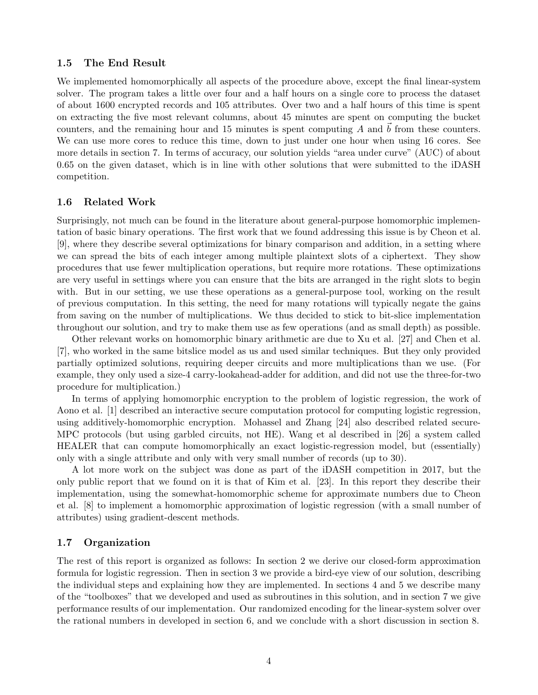#### 1.5 The End Result

We implemented homomorphically all aspects of the procedure above, except the final linear-system solver. The program takes a little over four and a half hours on a single core to process the dataset of about 1600 encrypted records and 105 attributes. Over two and a half hours of this time is spent on extracting the five most relevant columns, about 45 minutes are spent on computing the bucket counters, and the remaining hour and 15 minutes is spent computing  $A$  and  $b$  from these counters. We can use more cores to reduce this time, down to just under one hour when using 16 cores. See more details in section 7. In terms of accuracy, our solution yields "area under curve" (AUC) of about 0.65 on the given dataset, which is in line with other solutions that were submitted to the iDASH competition.

#### 1.6 Related Work

Surprisingly, not much can be found in the literature about general-purpose homomorphic implementation of basic binary operations. The first work that we found addressing this issue is by Cheon et al. [9], where they describe several optimizations for binary comparison and addition, in a setting where we can spread the bits of each integer among multiple plaintext slots of a ciphertext. They show procedures that use fewer multiplication operations, but require more rotations. These optimizations are very useful in settings where you can ensure that the bits are arranged in the right slots to begin with. But in our setting, we use these operations as a general-purpose tool, working on the result of previous computation. In this setting, the need for many rotations will typically negate the gains from saving on the number of multiplications. We thus decided to stick to bit-slice implementation throughout our solution, and try to make them use as few operations (and as small depth) as possible.

Other relevant works on homomorphic binary arithmetic are due to Xu et al. [27] and Chen et al. [7], who worked in the same bitslice model as us and used similar techniques. But they only provided partially optimized solutions, requiring deeper circuits and more multiplications than we use. (For example, they only used a size-4 carry-lookahead-adder for addition, and did not use the three-for-two procedure for multiplication.)

In terms of applying homomorphic encryption to the problem of logistic regression, the work of Aono et al. [1] described an interactive secure computation protocol for computing logistic regression, using additively-homomorphic encryption. Mohassel and Zhang [24] also described related secure-MPC protocols (but using garbled circuits, not HE). Wang et al described in [26] a system called HEALER that can compute homomorphically an exact logistic-regression model, but (essentially) only with a single attribute and only with very small number of records (up to 30).

A lot more work on the subject was done as part of the iDASH competition in 2017, but the only public report that we found on it is that of Kim et al. [23]. In this report they describe their implementation, using the somewhat-homomorphic scheme for approximate numbers due to Cheon et al. [8] to implement a homomorphic approximation of logistic regression (with a small number of attributes) using gradient-descent methods.

#### 1.7 Organization

The rest of this report is organized as follows: In section 2 we derive our closed-form approximation formula for logistic regression. Then in section 3 we provide a bird-eye view of our solution, describing the individual steps and explaining how they are implemented. In sections 4 and 5 we describe many of the "toolboxes" that we developed and used as subroutines in this solution, and in section 7 we give performance results of our implementation. Our randomized encoding for the linear-system solver over the rational numbers in developed in section 6, and we conclude with a short discussion in section 8.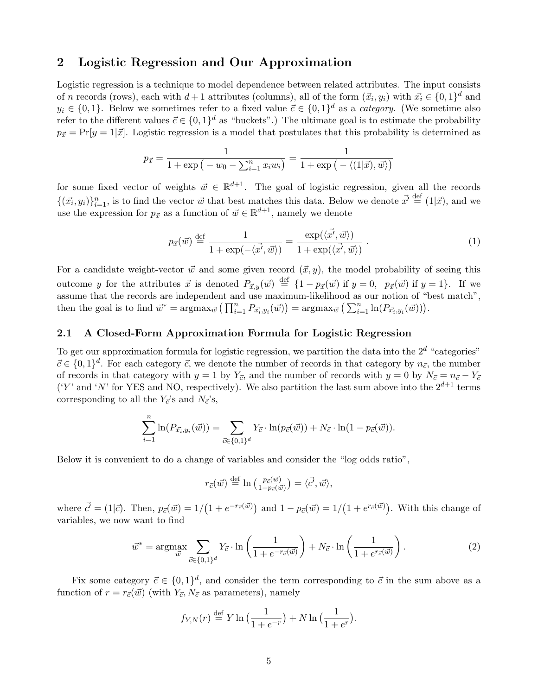### 2 Logistic Regression and Our Approximation

Logistic regression is a technique to model dependence between related attributes. The input consists of n records (rows), each with  $d+1$  attributes (columns), all of the form  $(\vec{x}_i, y_i)$  with  $\vec{x}_i \in \{0, 1\}^d$  and  $y_i \in \{0,1\}$ . Below we sometimes refer to a fixed value  $\vec{c} \in \{0,1\}^d$  as a *category*. (We sometime also refer to the different values  $\vec{c} \in \{0,1\}^d$  as "buckets".) The ultimate goal is to estimate the probability  $p_{\vec{x}} = \Pr[y = 1|\vec{x}]$ . Logistic regression is a model that postulates that this probability is determined as

$$
p_{\vec{x}} = \frac{1}{1 + \exp(-w_0 - \sum_{i=1}^n x_i w_i)} = \frac{1}{1 + \exp(-\langle (1|\vec{x}), \vec{w} \rangle)}
$$

for some fixed vector of weights  $\vec{w} \in \mathbb{R}^{d+1}$ . The goal of logistic regression, given all the records  $\{(\vec{x_i}, y_i)\}_{i=1}^n$ , is to find the vector  $\vec{w}$  that best matches this data. Below we denote  $\vec{x'} \stackrel{\text{def}}{=} (1|\vec{x})$ , and we use the expression for  $p_{\vec{x}}$  as a function of  $\vec{w} \in \mathbb{R}^{d+1}$ , namely we denote

$$
p_{\vec{x}}(\vec{w}) \stackrel{\text{def}}{=} \frac{1}{1 + \exp(-\langle \vec{x'}, \vec{w} \rangle)} = \frac{\exp(\langle \vec{x'}, \vec{w} \rangle)}{1 + \exp(\langle \vec{x'}, \vec{w} \rangle)} . \tag{1}
$$

For a candidate weight-vector  $\vec{w}$  and some given record  $(\vec{x}, y)$ , the model probability of seeing this outcome y for the attributes  $\vec{x}$  is denoted  $P_{\vec{x},y}(\vec{w}) \stackrel{\text{def}}{=} \{1 - p_{\vec{x}}(\vec{w}) \text{ if } y = 0, p_{\vec{x}}(\vec{w}) \text{ if } y = 1\}.$  If we assume that the records are independent and use maximum-likelihood as our notion of "best match", then the goal is to find  $\vec{w}^* = \operatorname{argmax}_{\vec{w}} (\prod_{i=1}^n P_{\vec{x_i},y_i}(\vec{w})) = \operatorname{argmax}_{\vec{w}} (\sum_{i=1}^n \ln(P_{\vec{x_i},y_i}(\vec{w}))).$ 

#### 2.1 A Closed-Form Approximation Formula for Logistic Regression

To get our approximation formula for logistic regression, we partition the data into the  $2^d$  "categories"  $\vec{c} \in \{0,1\}^d$ . For each category  $\vec{c}$ , we denote the number of records in that category by  $n_{\vec{c}}$ , the number of records in that category with  $y = 1$  by  $Y_{\vec{c}}$ , and the number of records with  $y = 0$  by  $N_{\vec{c}} = n_{\vec{c}} - Y_{\vec{c}}$ ('Y' and 'N' for YES and NO, respectively). We also partition the last sum above into the  $2^{d+1}$  terms corresponding to all the  $Y_{\vec{c}}$ 's and  $N_{\vec{c}}$ 's,

$$
\sum_{i=1}^{n} \ln(P_{\vec{x_i}, y_i}(\vec{w})) = \sum_{\vec{c} \in \{0, 1\}^d} Y_{\vec{c}} \cdot \ln(p_{\vec{c}}(\vec{w})) + N_{\vec{c}} \cdot \ln(1 - p_{\vec{c}}(\vec{w})).
$$

Below it is convenient to do a change of variables and consider the "log odds ratio",

$$
r_{\vec{c}}(\vec{w}) \stackrel{\text{def}}{=} \ln\left(\frac{p_{\vec{c}}(\vec{w})}{1 - p_{\vec{c}}(\vec{w})}\right) = \langle \vec{c'}, \vec{w} \rangle,
$$

where  $\vec{c'} = (1|\vec{c})$ . Then,  $p_{\vec{c}}(\vec{w}) = 1/(1 + e^{-r_{\vec{c}}(\vec{w})})$  and  $1 - p_{\vec{c}}(\vec{w}) = 1/(1 + e^{r_{\vec{c}}(\vec{w})})$ . With this change of variables, we now want to find

$$
\vec{w}^* = \underset{\vec{w}}{\text{argmax}} \sum_{\vec{c} \in \{0,1\}^d} Y_{\vec{c}} \cdot \ln\left(\frac{1}{1 + e^{-r_{\vec{c}}(\vec{w})}}\right) + N_{\vec{c}} \cdot \ln\left(\frac{1}{1 + e^{r_{\vec{c}}(\vec{w})}}\right). \tag{2}
$$

Fix some category  $\vec{c} \in \{0,1\}^d$ , and consider the term corresponding to  $\vec{c}$  in the sum above as a function of  $r = r_{\vec{c}}(\vec{w})$  (with  $Y_{\vec{c}}$ ,  $N_{\vec{c}}$  as parameters), namely

$$
f_{Y,N}(r) \stackrel{\text{def}}{=} Y \ln \left( \frac{1}{1 + e^{-r}} \right) + N \ln \left( \frac{1}{1 + e^r} \right).
$$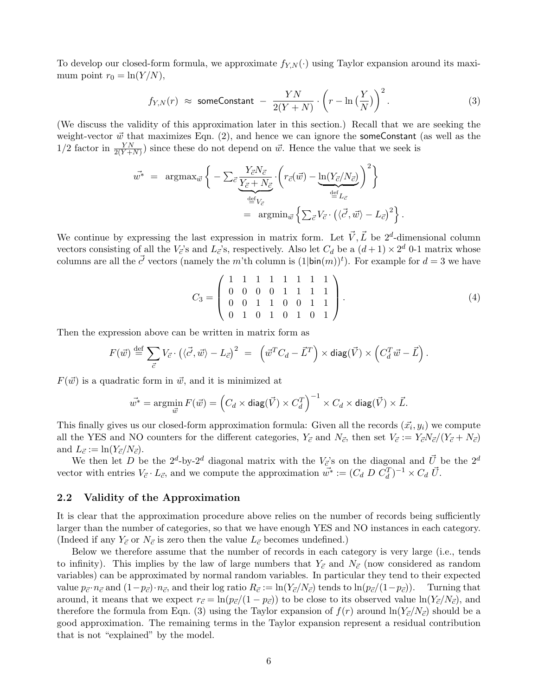To develop our closed-form formula, we approximate  $f_{Y,N}(\cdot)$  using Taylor expansion around its maximum point  $r_0 = \ln(Y/N)$ ,

$$
f_{Y,N}(r) \approx \text{someConstant} - \frac{YN}{2(Y+N)} \cdot \left(r - \ln\left(\frac{Y}{N}\right)\right)^2. \tag{3}
$$

(We discuss the validity of this approximation later in this section.) Recall that we are seeking the weight-vector  $\vec{w}$  that maximizes Eqn. (2), and hence we can ignore the someConstant (as well as the  $1/2$  factor in  $\frac{YN}{2(Y+N)}$  since these do not depend on  $\vec{w}$ . Hence the value that we seek is

$$
\vec{w^*} = \operatorname{argmax}_{\vec{w}} \left\{ -\sum_{\vec{c}} \underbrace{Y_{\vec{c}} N_{\vec{c}}}_{\substack{\text{def}_{V_{\vec{c}}}}}\cdot \left(r_{\vec{c}}(\vec{w}) - \underbrace{\ln(Y_{\vec{c}}/N_{\vec{c}})}_{\substack{\text{def}_{V_{\vec{c}}}}}\right)^2 \right\}
$$
\n
$$
= \operatorname{argmin}_{\vec{w}} \left\{ \sum_{\vec{c}} V_{\vec{c}} \cdot \left( \langle \vec{c'}, \vec{w} \rangle - L_{\vec{c}} \right)^2 \right\}.
$$

We continue by expressing the last expression in matrix form. Let  $\vec{V}, \vec{L}$  be  $2^d$ -dimensional column vectors consisting of all the  $V_{\vec{c}}$ 's and  $L_{\vec{c}}$ 's, respectively. Also let  $C_d$  be a  $(d+1) \times 2^d$  0-1 matrix whose columns are all the  $\vec{c'}$  vectors (namely the m'th column is  $(1|\text{bin}(m))^t$ ). For example for  $d=3$  we have

$$
C_3 = \left(\begin{array}{cccccc} 1 & 1 & 1 & 1 & 1 & 1 & 1 \\ 0 & 0 & 0 & 0 & 1 & 1 & 1 \\ 0 & 0 & 1 & 1 & 0 & 0 & 1 & 1 \\ 0 & 1 & 0 & 1 & 0 & 1 & 0 & 1 \end{array}\right).
$$
 (4)

Then the expression above can be written in matrix form as

$$
F(\vec{w}) \stackrel{\text{def}}{=} \sum_{\vec{c}} V_{\vec{c}} \cdot \left( \langle \vec{c'}, \vec{w} \rangle - L_{\vec{c}} \right)^2 = \left( \vec{w}^T C_d - \vec{L}^T \right) \times \text{diag}(\vec{V}) \times \left( C_d^T \vec{w} - \vec{L} \right).
$$

 $F(\vec{w})$  is a quadratic form in  $\vec{w}$ , and it is minimized at

$$
\vec{w^*} = \operatorname*{argmin}_{\vec{w}} F(\vec{w}) = \left( C_d \times \operatorname{diag}(\vec{V}) \times C_d^T \right)^{-1} \times C_d \times \operatorname{diag}(\vec{V}) \times \vec{L}.
$$

This finally gives us our closed-form approximation formula: Given all the records  $(\vec{x_i}, y_i)$  we compute all the YES and NO counters for the different categories,  $Y_{\vec{c}}$  and  $N_{\vec{c}}$ , then set  $V_{\vec{c}} := Y_{\vec{c}} N_{\vec{c}}/(Y_{\vec{c}} + N_{\vec{c}})$ and  $L_{\vec{c}} := \ln(Y_{\vec{c}}/N_{\vec{c}}).$ 

We then let D be the  $2^d$ -by- $2^d$  diagonal matrix with the  $V_c$ 's on the diagonal and  $\vec{U}$  be the  $2^d$ vector with entries  $V_{\vec{c}} \cdot L_{\vec{c}}$ , and we compute the approximation  $\vec{w^*} := (C_d D C_d^T)^{-1} \times C_d \vec{U}$ .

#### 2.2 Validity of the Approximation

It is clear that the approximation procedure above relies on the number of records being sufficiently larger than the number of categories, so that we have enough YES and NO instances in each category. (Indeed if any  $Y_{\vec{c}}$  or  $N_{\vec{c}}$  is zero then the value  $L_{\vec{c}}$  becomes undefined.)

Below we therefore assume that the number of records in each category is very large (i.e., tends to infinity). This implies by the law of large numbers that  $Y_{\vec{c}}$  and  $N_{\vec{c}}$  (now considered as random variables) can be approximated by normal random variables. In particular they tend to their expected value  $p_{\vec{c}} \cdot n_{\vec{c}}$  and  $(1-p_{\vec{c}}) \cdot n_{\vec{c}}$ , and their log ratio  $R_{\vec{c}} := \ln(Y_{\vec{c}}/N_{\vec{c}})$  tends to  $\ln(p_{\vec{c}}/(1-p_{\vec{c}}))$ . Turning that around, it means that we expect  $r_{\vec{c}} = \ln(p_{\vec{c}}/(1 - p_{\vec{c}}))$  to be close to its observed value  $\ln(Y_{\vec{c}}/N_{\vec{c}})$ , and therefore the formula from Eqn. (3) using the Taylor expansion of  $f(r)$  around  $\ln(Y_{\vec{c}}/N_{\vec{c}})$  should be a good approximation. The remaining terms in the Taylor expansion represent a residual contribution that is not "explained" by the model.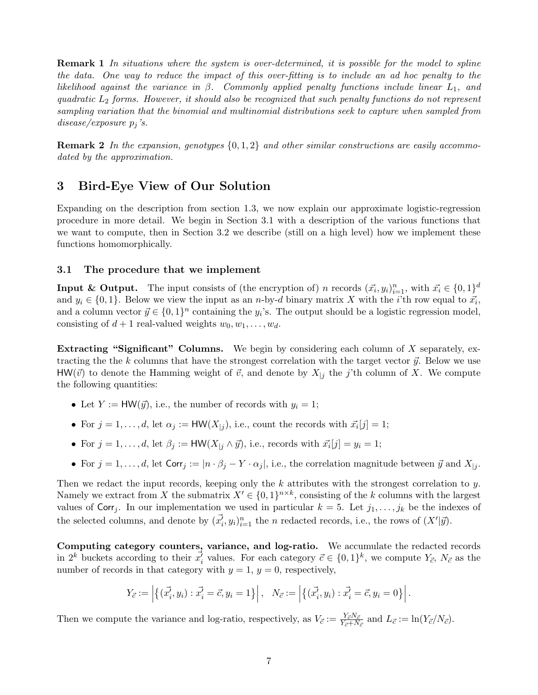**Remark 1** In situations where the system is over-determined, it is possible for the model to spline the data. One way to reduce the impact of this over-fitting is to include an ad hoc penalty to the likelihood against the variance in  $\beta$ . Commonly applied penalty functions include linear  $L_1$ , and quadratic  $L_2$  forms. However, it should also be recognized that such penalty functions do not represent sampling variation that the binomial and multinomial distributions seek to capture when sampled from disease/exposure  $p_i$ 's.

**Remark 2** In the expansion, genotypes  $\{0, 1, 2\}$  and other similar constructions are easily accommodated by the approximation.

## 3 Bird-Eye View of Our Solution

Expanding on the description from section 1.3, we now explain our approximate logistic-regression procedure in more detail. We begin in Section 3.1 with a description of the various functions that we want to compute, then in Section 3.2 we describe (still on a high level) how we implement these functions homomorphically.

### 3.1 The procedure that we implement

**Input & Output.** The input consists of (the encryption of) n records  $(\vec{x_i}, y_i)_{i=1}^n$ , with  $\vec{x_i} \in \{0, 1\}^d$ and  $y_i \in \{0, 1\}$ . Below we view the input as an *n*-by-*d* binary matrix X with the *i*'th row equal to  $\vec{x_i}$ , and a column vector  $\vec{y} \in \{0, 1\}^n$  containing the  $y_i$ 's. The output should be a logistic regression model, consisting of  $d+1$  real-valued weights  $w_0, w_1, \ldots, w_d$ .

**Extracting "Significant" Columns.** We begin by considering each column of  $X$  separately, extracting the the k columns that have the strongest correlation with the target vector  $\vec{y}$ . Below we use HW( $\vec{v}$ ) to denote the Hamming weight of  $\vec{v}$ , and denote by  $X_{j}$  the j'th column of X. We compute the following quantities:

- Let  $Y := HW(\vec{y})$ , i.e., the number of records with  $y_i = 1$ ;
- For  $j = 1, ..., d$ , let  $\alpha_j := HW(X_{j}),$  i.e., count the records with  $\vec{x_i}[j] = 1;$
- For  $j = 1, ..., d$ , let  $\beta_j := HW(X_{j} \wedge \vec{y})$ , i.e., records with  $\vec{x_i}[j] = y_i = 1$ ;
- For  $j = 1, \ldots, d$ , let  $Corr_j := |n \cdot \beta_j Y \cdot \alpha_j|$ , i.e., the correlation magnitude between  $\vec{y}$  and  $X_{|j}$ .

Then we redact the input records, keeping only the k attributes with the strongest correlation to  $y$ . Namely we extract from X the submatrix  $X' \in \{0,1\}^{n \times k}$ , consisting of the k columns with the largest values of Corr<sub>j</sub>. In our implementation we used in particular  $k = 5$ . Let  $j_1, \ldots, j_k$  be the indexes of the selected columns, and denote by  $(\vec{x}_i', y_i)_{i=1}^n$  the n redacted records, i.e., the rows of  $(X'|\vec{y})$ .

Computing category counters, variance, and log-ratio. We accumulate the redacted records in  $2^k$  buckets according to their  $x_i^j$  values. For each category  $\vec{c} \in \{0,1\}^k$ , we compute  $Y_{\vec{c}}$ ,  $N_{\vec{c}}$  as the number of records in that category with  $y = 1$ ,  $y = 0$ , respectively,

$$
Y_{\vec{c}} := \left| \{ (\vec{x'_i}, y_i) : \vec{x'_i} = \vec{c}, y_i = 1 \} \right|, \quad N_{\vec{c}} := \left| \{ (\vec{x'_i}, y_i) : \vec{x'_i} = \vec{c}, y_i = 0 \} \right|.
$$

Then we compute the variance and log-ratio, respectively, as  $V_{\vec{c}} := \frac{Y_{\vec{c}} N_{\vec{c}}}{Y_{\vec{c}}+N}$  $\frac{Y_{\vec{c}}N_{\vec{c}}}{Y_{\vec{c}}+N_{\vec{c}}}$  and  $L_{\vec{c}} := \ln(Y_{\vec{c}}/N_{\vec{c}})$ .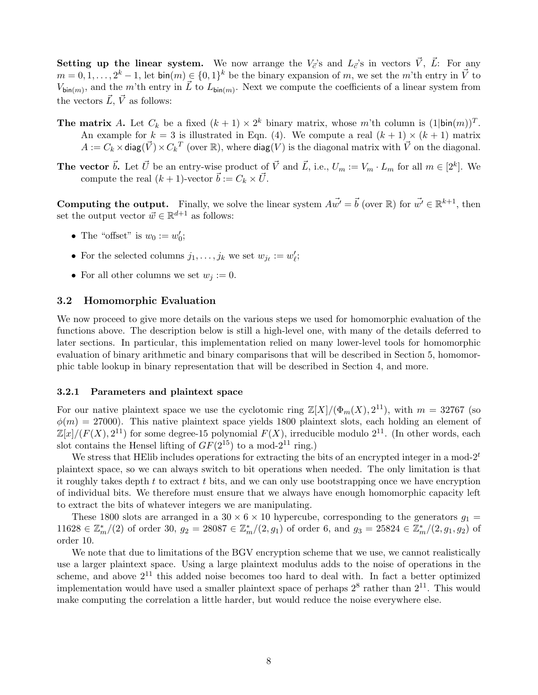Setting up the linear system. We now arrange the  $V_{\vec{c}}$ 's and  $L_{\vec{c}}$ 's in vectors  $\vec{V}$ ,  $\vec{L}$ : For any  $m = 0, 1, \ldots, 2^k - 1$ , let  $\text{bin}(m) \in \{0, 1\}^k$  be the binary expansion of m, we set the m'th entry in  $\vec{V}$  to  $V_{\text{bin}(m)}$ , and the m'th entry in  $\vec{L}$  to  $L_{\text{bin}(m)}$ . Next we compute the coefficients of a linear system from the vectors  $\vec{L}, \vec{V}$  as follows:

- The matrix A. Let  $C_k$  be a fixed  $(k+1) \times 2^k$  binary matrix, whose m'th column is  $(1|\text{bin}(m))^T$ . An example for  $k = 3$  is illustrated in Eqn. (4). We compute a real  $(k + 1) \times (k + 1)$  matrix  $A := C_k \times \text{diag}(\vec{V}) \times C_k^T$  (over  $\mathbb{R}$ ), where  $\text{diag}(V)$  is the diagonal matrix with  $\vec{V}$  on the diagonal.
- **The vector**  $\vec{b}$ . Let  $\vec{U}$  be an entry-wise product of  $\vec{V}$  and  $\vec{L}$ , i.e.,  $U_m := V_m \cdot L_m$  for all  $m \in [2^k]$ . We compute the real  $(k + 1)$ -vector  $\vec{b} := C_k \times \vec{U}$ .

**Computing the output.** Finally, we solve the linear system  $A\vec{w'} = \vec{b}$  (over R) for  $\vec{w'} \in \mathbb{R}^{k+1}$ , then set the output vector  $\vec{w} \in \mathbb{R}^{d+1}$  as follows:

- The "offset" is  $w_0 := w'_0$ ;
- For the selected columns  $j_1, \ldots, j_k$  we set  $w_{j_\ell} := w'_\ell;$
- For all other columns we set  $w_i := 0$ .

#### 3.2 Homomorphic Evaluation

We now proceed to give more details on the various steps we used for homomorphic evaluation of the functions above. The description below is still a high-level one, with many of the details deferred to later sections. In particular, this implementation relied on many lower-level tools for homomorphic evaluation of binary arithmetic and binary comparisons that will be described in Section 5, homomorphic table lookup in binary representation that will be described in Section 4, and more.

#### 3.2.1 Parameters and plaintext space

For our native plaintext space we use the cyclotomic ring  $\mathbb{Z}[X]/(\Phi_m(X), 2^{11})$ , with  $m = 32767$  (so  $\phi(m) = 27000$ ). This native plaintext space yields 1800 plaintext slots, each holding an element of  $\mathbb{Z}[x]/(F(X), 2^{11})$  for some degree-15 polynomial  $F(X)$ , irreducible modulo  $2^{11}$ . (In other words, each slot contains the Hensel lifting of  $GF(2^{15})$  to a mod-2<sup>11</sup> ring.)

We stress that HElib includes operations for extracting the bits of an encrypted integer in a mod- $2<sup>t</sup>$ plaintext space, so we can always switch to bit operations when needed. The only limitation is that it roughly takes depth  $t$  to extract  $t$  bits, and we can only use bootstrapping once we have encryption of individual bits. We therefore must ensure that we always have enough homomorphic capacity left to extract the bits of whatever integers we are manipulating.

These 1800 slots are arranged in a 30  $\times$  6  $\times$  10 hypercube, corresponding to the generators  $g_1$  = 11628 ∈  $\mathbb{Z}_m^*/(2)$  of order 30,  $g_2 = 28087 \in \mathbb{Z}_m^*/(2, g_1)$  of order 6, and  $g_3 = 25824 \in \mathbb{Z}_m^*/(2, g_1, g_2)$  of order 10.

We note that due to limitations of the BGV encryption scheme that we use, we cannot realistically use a larger plaintext space. Using a large plaintext modulus adds to the noise of operations in the scheme, and above  $2^{11}$  this added noise becomes too hard to deal with. In fact a better optimized implementation would have used a smaller plaintext space of perhaps  $2^8$  rather than  $2^{11}$ . This would make computing the correlation a little harder, but would reduce the noise everywhere else.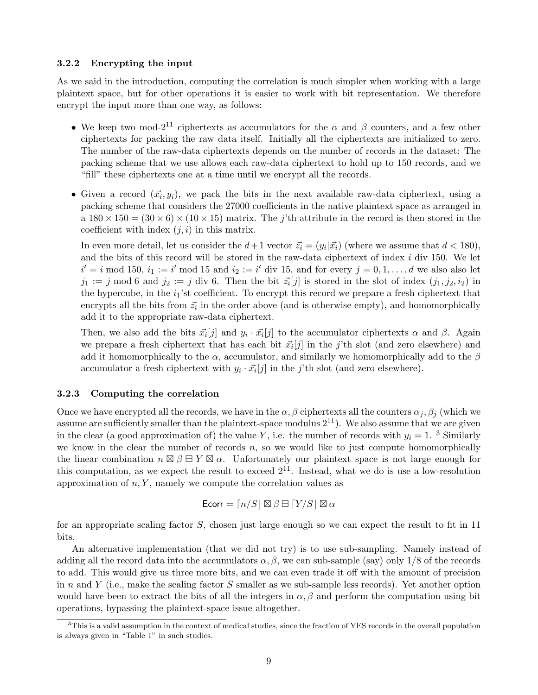#### 3.2.2 Encrypting the input

As we said in the introduction, computing the correlation is much simpler when working with a large plaintext space, but for other operations it is easier to work with bit representation. We therefore encrypt the input more than one way, as follows:

- We keep two mod-2<sup>11</sup> ciphertexts as accumulators for the  $\alpha$  and  $\beta$  counters, and a few other ciphertexts for packing the raw data itself. Initially all the ciphertexts are initialized to zero. The number of the raw-data ciphertexts depends on the number of records in the dataset: The packing scheme that we use allows each raw-data ciphertext to hold up to 150 records, and we "fill" these ciphertexts one at a time until we encrypt all the records.
- Given a record  $(\vec{x_i}, y_i)$ , we pack the bits in the next available raw-data ciphertext, using a packing scheme that considers the 27000 coefficients in the native plaintext space as arranged in a  $180 \times 150 = (30 \times 6) \times (10 \times 15)$  matrix. The j'th attribute in the record is then stored in the coefficient with index  $(j, i)$  in this matrix.

In even more detail, let us consider the  $d+1$  vector  $\vec{z_i} = (y_i | \vec{x_i})$  (where we assume that  $d < 180$ ), and the bits of this record will be stored in the raw-data ciphertext of index  $i$  div 150. We let  $i' = i \mod 150$ ,  $i_1 := i' \mod 15$  and  $i_2 := i' \text{ div } 15$ , and for every  $j = 0, 1, \ldots, d$  we also also let  $j_1 := j \mod 6$  and  $j_2 := j$  div 6. Then the bit  $\vec{z_i}[j]$  is stored in the slot of index  $(j_1, j_2, i_2)$  in the hypercube, in the  $i_1$ 'st coefficient. To encrypt this record we prepare a fresh ciphertext that encrypts all the bits from  $\vec{z_i}$  in the order above (and is otherwise empty), and homomorphically add it to the appropriate raw-data ciphertext.

Then, we also add the bits  $\vec{x_i}[j]$  and  $y_i \cdot \vec{x_i}[j]$  to the accumulator ciphertexts  $\alpha$  and  $\beta$ . Again we prepare a fresh ciphertext that has each bit  $\vec{x_i}[j]$  in the j'th slot (and zero elsewhere) and add it homomorphically to the  $\alpha$ , accumulator, and similarly we homomorphically add to the  $\beta$ accumulator a fresh ciphertext with  $y_i \cdot \vec{x_i}[j]$  in the j'th slot (and zero elsewhere).

#### 3.2.3 Computing the correlation

Once we have encrypted all the records, we have in the  $\alpha$ ,  $\beta$  ciphertexts all the counters  $\alpha_j$ ,  $\beta_j$  (which we assume are sufficiently smaller than the plaintext-space modulus  $2^{11}$ ). We also assume that we are given in the clear (a good approximation of) the value Y, i.e. the number of records with  $y_i = 1$ . <sup>3</sup> Similarly we know in the clear the number of records  $n$ , so we would like to just compute homomorphically the linear combination  $n \boxtimes \beta \boxminus Y \boxtimes \alpha$ . Unfortunately our plaintext space is not large enough for this computation, as we expect the result to exceed  $2^{11}$ . Instead, what we do is use a low-resolution approximation of  $n, Y$ , namely we compute the correlation values as

$$
\mathsf{Ecorr} = \lceil n/S \rfloor \boxtimes \beta \boxminus \lceil Y/S \rfloor \boxtimes \alpha
$$

for an appropriate scaling factor S, chosen just large enough so we can expect the result to fit in 11 bits.

An alternative implementation (that we did not try) is to use sub-sampling. Namely instead of adding all the record data into the accumulators  $\alpha, \beta$ , we can sub-sample (say) only 1/8 of the records to add. This would give us three more bits, and we can even trade it off with the amount of precision in n and Y (i.e., make the scaling factor S smaller as we sub-sample less records). Yet another option would have been to extract the bits of all the integers in  $\alpha, \beta$  and perform the computation using bit operations, bypassing the plaintext-space issue altogether.

 $3$ This is a valid assumption in the context of medical studies, since the fraction of YES records in the overall population is always given in "Table 1" in such studies.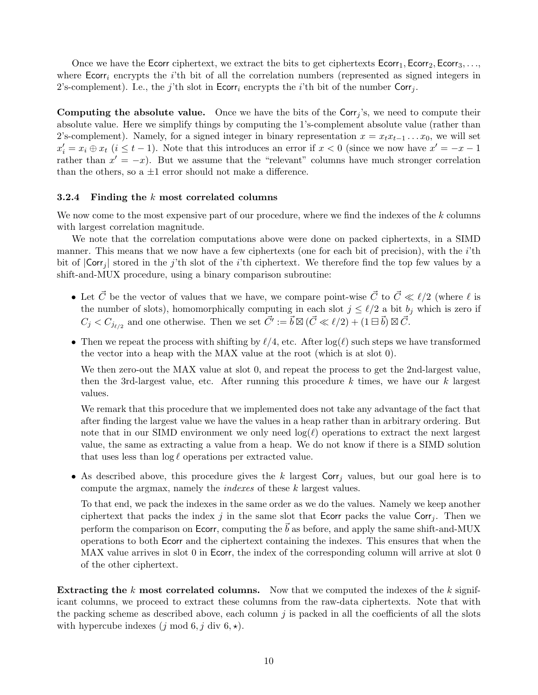Once we have the Ecorr ciphertext, we extract the bits to get ciphertexts  $\text{Ecorr}_1, \text{Ecorr}_2, \text{Ecorr}_3, \ldots$ where  $\equiv$  Ecorr<sub>i</sub> encrypts the i<sup>'th</sup> bit of all the correlation numbers (represented as signed integers in 2's-complement). I.e., the j'th slot in Ecorr<sub>i</sub> encrypts the i'th bit of the number Corr<sub>i</sub>.

**Computing the absolute value.** Once we have the bits of the  $Corr<sub>i</sub>$ 's, we need to compute their absolute value. Here we simplify things by computing the 1's-complement absolute value (rather than 2's-complement). Namely, for a signed integer in binary representation  $x = x_t x_{t-1} \dots x_0$ , we will set  $x'_i = x_i \oplus x_t$  ( $i \leq t-1$ ). Note that this introduces an error if  $x < 0$  (since we now have  $x' = -x-1$ ) rather than  $x' = -x$ ). But we assume that the "relevant" columns have much stronger correlation than the others, so a  $\pm 1$  error should not make a difference.

#### 3.2.4 Finding the  $k$  most correlated columns

We now come to the most expensive part of our procedure, where we find the indexes of the k columns with largest correlation magnitude.

We note that the correlation computations above were done on packed ciphertexts, in a SIMD manner. This means that we now have a few ciphertexts (one for each bit of precision), with the  $i$ 'th bit of  $|Corr_j|$  stored in the j'th slot of the i'th ciphertext. We therefore find the top few values by a shift-and-MUX procedure, using a binary comparison subroutine:

- Let  $\vec{C}$  be the vector of values that we have, we compare point-wise  $\vec{C}$  to  $\vec{C} \ll \ell/2$  (where  $\ell$  is the number of slots), homomorphically computing in each slot  $j \leq \ell/2$  a bit  $b_j$  which is zero if  $C_j < C_{j_{\ell/2}}$  and one otherwise. Then we set  $\vec{C'} := \vec{b} \boxtimes (\vec{C} \ll l/2) + (1 \boxminus \vec{b}) \boxtimes \vec{C}$ .
- Then we repeat the process with shifting by  $\ell/4$ , etc. After  $log(\ell)$  such steps we have transformed the vector into a heap with the MAX value at the root (which is at slot 0).

We then zero-out the MAX value at slot 0, and repeat the process to get the 2nd-largest value, then the 3rd-largest value, etc. After running this procedure  $k$  times, we have our  $k$  largest values.

We remark that this procedure that we implemented does not take any advantage of the fact that after finding the largest value we have the values in a heap rather than in arbitrary ordering. But note that in our SIMD environment we only need  $log(\ell)$  operations to extract the next largest value, the same as extracting a value from a heap. We do not know if there is a SIMD solution that uses less than  $\log \ell$  operations per extracted value.

• As described above, this procedure gives the k largest  $Corr<sub>j</sub>$  values, but our goal here is to compute the argmax, namely the indexes of these k largest values.

To that end, we pack the indexes in the same order as we do the values. Namely we keep another ciphertext that packs the index j in the same slot that Ecorr packs the value Corr<sub>j</sub>. Then we perform the comparison on Ecorr, computing the  $\vec{b}$  as before, and apply the same shift-and-MUX operations to both Ecorr and the ciphertext containing the indexes. This ensures that when the MAX value arrives in slot 0 in Ecorr, the index of the corresponding column will arrive at slot 0 of the other ciphertext.

**Extracting the k most correlated columns.** Now that we computed the indexes of the k significant columns, we proceed to extract these columns from the raw-data ciphertexts. Note that with the packing scheme as described above, each column  $i$  is packed in all the coefficients of all the slots with hypercube indexes (*j* mod 6, *j* div 6,  $\star$ ).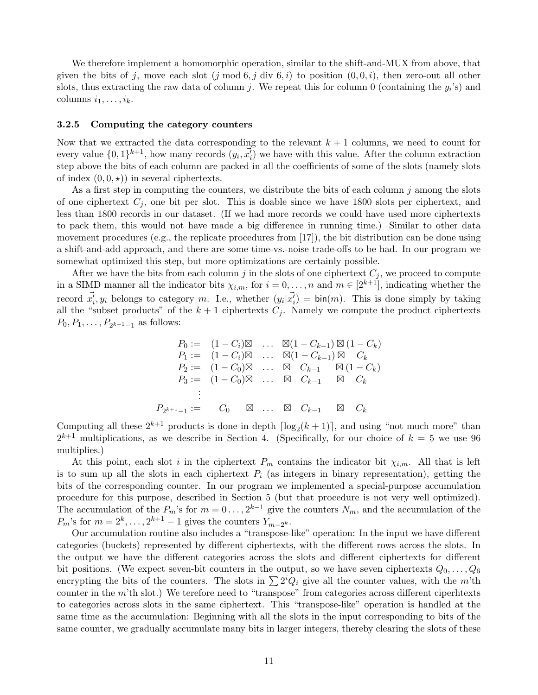We therefore implement a homomorphic operation, similar to the shift-and-MUX from above, that given the bits of j, move each slot (j mod  $6, j$  div  $6, i$ ) to position  $(0, 0, i)$ , then zero-out all other slots, thus extracting the raw data of column j. We repeat this for column 0 (containing the  $y_i$ 's) and columns  $i_1, \ldots, i_k$ .

#### 3.2.5 Computing the category counters

Now that we extracted the data corresponding to the relevant  $k + 1$  columns, we need to count for every value  $\{0,1\}^{k+1}$ , how many records  $(y_i, \vec{x'_i})$  we have with this value. After the column extraction step above the bits of each column are packed in all the coefficients of some of the slots (namely slots of index  $(0, 0, \star)$  in several ciphertexts.

As a first step in computing the counters, we distribute the bits of each column  $j$  among the slots of one ciphertext  $C_j$ , one bit per slot. This is doable since we have 1800 slots per ciphertext, and less than 1800 records in our dataset. (If we had more records we could have used more ciphertexts to pack them, this would not have made a big difference in running time.) Similar to other data movement procedures (e.g., the replicate procedures from [17]), the bit distribution can be done using a shift-and-add approach, and there are some time-vs.-noise trade-offs to be had. In our program we somewhat optimized this step, but more optimizations are certainly possible.

After we have the bits from each column j in the slots of one ciphertext  $C_j$ , we proceed to compute in a SIMD manner all the indicator bits  $\chi_{i,m}$ , for  $i = 0, \ldots, n$  and  $m \in [2^{k+1}]$ , indicating whether the record  $\vec{x'_i}, y_i$  belongs to category m. I.e., whether  $(y_i | \vec{x'_i}) = bin(m)$ . This is done simply by taking all the "subset products" of the  $k+1$  ciphertexts  $C_j$ . Namely we compute the product ciphertexts  $P_0, P_1, \ldots, P_{2^{k+1}-1}$  as follows:

$$
P_0 := (1 - C_i) \boxtimes \dots \boxtimes (1 - C_{k-1}) \boxtimes (1 - C_k)
$$
  
\n
$$
P_1 := (1 - C_i) \boxtimes \dots \boxtimes (1 - C_{k-1}) \boxtimes C_k
$$
  
\n
$$
P_2 := (1 - C_0) \boxtimes \dots \boxtimes C_{k-1} \boxtimes (1 - C_k)
$$
  
\n
$$
P_3 := (1 - C_0) \boxtimes \dots \boxtimes C_{k-1} \boxtimes C_k
$$
  
\n
$$
\vdots
$$
  
\n
$$
P_{2^{k+1}-1} := C_0 \boxtimes \dots \boxtimes C_{k-1} \boxtimes C_k
$$

Computing all these  $2^{k+1}$  products is done in depth  $\lceil \log_2(k+1) \rceil$ , and using "not much more" than  $2^{k+1}$  multiplications, as we describe in Section 4. (Specifically, for our choice of  $k = 5$  we use 96 multiplies.)

At this point, each slot i in the ciphertext  $P_m$  contains the indicator bit  $\chi_{i,m}$ . All that is left is to sum up all the slots in each ciphertext  $P_i$  (as integers in binary representation), getting the bits of the corresponding counter. In our program we implemented a special-purpose accumulation procedure for this purpose, described in Section 5 (but that procedure is not very well optimized). The accumulation of the  $P_m$ 's for  $m = 0 \ldots, 2^{k-1}$  give the counters  $N_m$ , and the accumulation of the  $P_m$ 's for  $m = 2^k, \ldots, 2^{k+1} - 1$  gives the counters  $Y_{m-2^k}$ .

Our accumulation routine also includes a "transpose-like" operation: In the input we have different categories (buckets) represented by different ciphertexts, with the different rows across the slots. In the output we have the different categories across the slots and different ciphertexts for different bit positions. (We expect seven-bit counters in the output, so we have seven ciphertexts  $Q_0, \ldots, Q_6$ encrypting the bits of the counters. The slots in  $\sum 2^i Q_i$  give all the counter values, with the m'th counter in the m'th slot.) We terefore need to "transpose" from categories across different ciperhtexts to categories across slots in the same ciphertext. This "transpose-like" operation is handled at the same time as the accumulation: Beginning with all the slots in the input corresponding to bits of the same counter, we gradually accumulate many bits in larger integers, thereby clearing the slots of these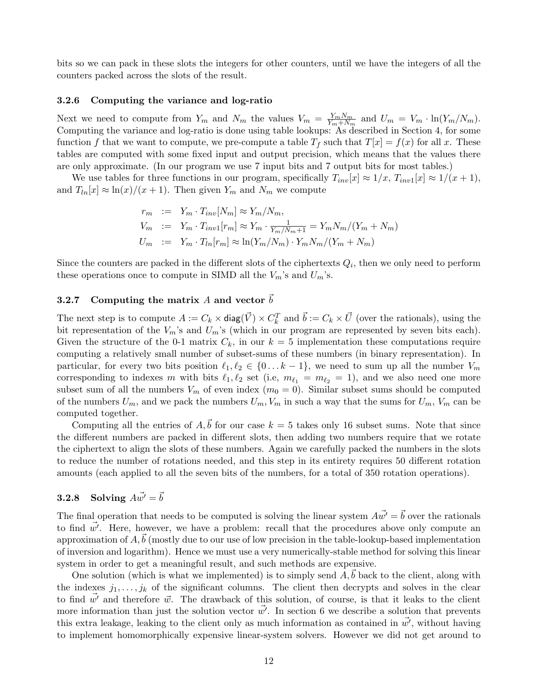bits so we can pack in these slots the integers for other counters, until we have the integers of all the counters packed across the slots of the result.

#### 3.2.6 Computing the variance and log-ratio

Next we need to compute from  $Y_m$  and  $N_m$  the values  $V_m = \frac{Y_m N_m}{Y_m + N_m}$  $\frac{Y_m N_m}{Y_m + N_m}$  and  $U_m = V_m \cdot \ln(Y_m / N_m)$ . Computing the variance and log-ratio is done using table lookups: As described in Section 4, for some function f that we want to compute, we pre-compute a table  $T_f$  such that  $T[x] = f(x)$  for all x. These tables are computed with some fixed input and output precision, which means that the values there are only approximate. (In our program we use 7 input bits and 7 output bits for most tables.)

We use tables for three functions in our program, specifically  $T_{inv}[x] \approx 1/x$ ,  $T_{inv}[x] \approx 1/(x+1)$ , and  $T_{ln}[x] \approx \ln(x)/(x+1)$ . Then given  $Y_m$  and  $N_m$  we compute

$$
r_m := Y_m \cdot T_{inv}[N_m] \approx Y_m/N_m,
$$
  
\n
$$
V_m := Y_m \cdot T_{inv1}[r_m] \approx Y_m \cdot \frac{1}{Y_m/N_m+1} = Y_m N_m/(Y_m + N_m)
$$
  
\n
$$
U_m := Y_m \cdot T_{ln}[r_m] \approx \ln(Y_m/N_m) \cdot Y_m N_m/(Y_m + N_m)
$$

Since the counters are packed in the different slots of the ciphertexts  $Q_i$ , then we only need to perform these operations once to compute in SIMD all the  $V_m$ 's and  $U_m$ 's.

#### **3.2.7** Computing the matrix A and vector  $\vec{b}$

The next step is to compute  $A := C_k \times \text{diag}(\vec{V}) \times C_k^T$  and  $\vec{b} := C_k \times \vec{U}$  (over the rationals), using the bit representation of the  $V_m$ 's and  $U_m$ 's (which in our program are represented by seven bits each). Given the structure of the 0-1 matrix  $C_k$ , in our  $k = 5$  implementation these computations require computing a relatively small number of subset-sums of these numbers (in binary representation). In particular, for every two bits position  $\ell_1, \ell_2 \in \{0 \dots k-1\}$ , we need to sum up all the number  $V_m$ corresponding to indexes m with bits  $\ell_1, \ell_2$  set (i.e,  $m_{\ell_1} = m_{\ell_2} = 1$ ), and we also need one more subset sum of all the numbers  $V_m$  of even index  $(m_0 = 0)$ . Similar subset sums should be computed of the numbers  $U_m$ , and we pack the numbers  $U_m$ ,  $V_m$  in such a way that the sums for  $U_m$ ,  $V_m$  can be computed together.

Computing all the entries of  $\overrightarrow{A}$ ,  $\overrightarrow{b}$  for our case  $k = 5$  takes only 16 subset sums. Note that since the different numbers are packed in different slots, then adding two numbers require that we rotate the ciphertext to align the slots of these numbers. Again we carefully packed the numbers in the slots to reduce the number of rotations needed, and this step in its entirety requires 50 different rotation amounts (each applied to all the seven bits of the numbers, for a total of 350 rotation operations).

### 3.2.8 Solving  $A\vec{w'} = \vec{b}$

The final operation that needs to be computed is solving the linear system  $A\vec{w'} = \vec{b}$  over the rationals to find  $\vec{w'}$ . Here, however, we have a problem: recall that the procedures above only compute an approximation of  $A,\vec{b}$  (mostly due to our use of low precision in the table-lookup-based implementation of inversion and logarithm). Hence we must use a very numerically-stable method for solving this linear system in order to get a meaningful result, and such methods are expensive.

One solution (which is what we implemented) is to simply send  $A, \vec{b}$  back to the client, along with the indexes  $j_1, \ldots, j_k$  of the significant columns. The client then decrypts and solves in the clear to find  $\vec{w'}$  and therefore  $\vec{w}$ . The drawback of this solution, of course, is that it leaks to the client more information than just the solution vector  $\vec{w'}$ . In section 6 we describe a solution that prevents this extra leakage, leaking to the client only as much information as contained in  $\vec{w'}$ , without having to implement homomorphically expensive linear-system solvers. However we did not get around to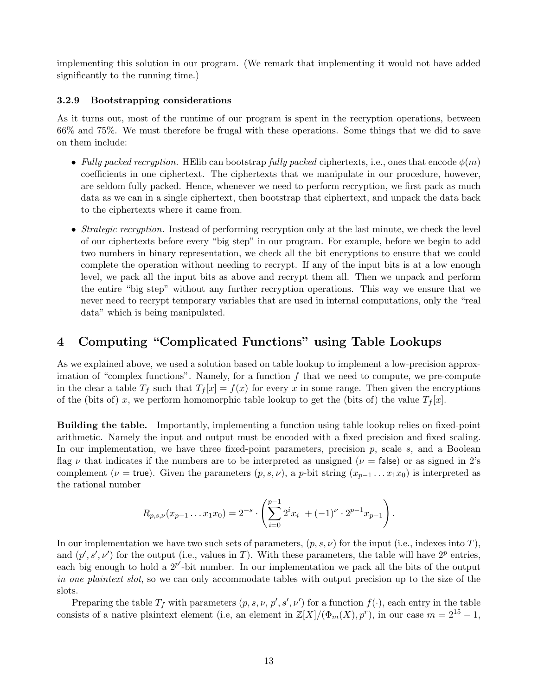implementing this solution in our program. (We remark that implementing it would not have added significantly to the running time.)

#### 3.2.9 Bootstrapping considerations

As it turns out, most of the runtime of our program is spent in the recryption operations, between 66% and 75%. We must therefore be frugal with these operations. Some things that we did to save on them include:

- Fully packed recryption. HEIID can bootstrap fully packed ciphertexts, i.e., ones that encode  $\phi(m)$ coefficients in one ciphertext. The ciphertexts that we manipulate in our procedure, however, are seldom fully packed. Hence, whenever we need to perform recryption, we first pack as much data as we can in a single ciphertext, then bootstrap that ciphertext, and unpack the data back to the ciphertexts where it came from.
- Strategic recryption. Instead of performing recryption only at the last minute, we check the level of our ciphertexts before every "big step" in our program. For example, before we begin to add two numbers in binary representation, we check all the bit encryptions to ensure that we could complete the operation without needing to recrypt. If any of the input bits is at a low enough level, we pack all the input bits as above and recrypt them all. Then we unpack and perform the entire "big step" without any further recryption operations. This way we ensure that we never need to recrypt temporary variables that are used in internal computations, only the "real data" which is being manipulated.

# 4 Computing "Complicated Functions" using Table Lookups

As we explained above, we used a solution based on table lookup to implement a low-precision approximation of "complex functions". Namely, for a function  $f$  that we need to compute, we pre-compute in the clear a table  $T_f$  such that  $T_f[x] = f(x)$  for every x in some range. Then given the encryptions of the (bits of) x, we perform homomorphic table lookup to get the (bits of) the value  $T_f[x]$ .

Building the table. Importantly, implementing a function using table lookup relies on fixed-point arithmetic. Namely the input and output must be encoded with a fixed precision and fixed scaling. In our implementation, we have three fixed-point parameters, precision  $p$ , scale  $s$ , and a Boolean flag  $\nu$  that indicates if the numbers are to be interpreted as unsigned ( $\nu$  = false) or as signed in 2's complement ( $\nu$  = true). Given the parameters  $(p, s, \nu)$ , a p-bit string  $(x_{p-1} \ldots x_1 x_0)$  is interpreted as the rational number

$$
R_{p,s,\nu}(x_{p-1}\dots x_1x_0)=2^{-s}\cdot\left(\sum_{i=0}^{p-1}2^ix_i\ +(-1)^{\nu}\cdot2^{p-1}x_{p-1}\right).
$$

In our implementation we have two such sets of parameters,  $(p, s, \nu)$  for the input (i.e., indexes into T), and  $(p', s', \nu')$  for the output (i.e., values in T). With these parameters, the table will have  $2^p$  entries, each big enough to hold a  $2^{p'}$ -bit number. In our implementation we pack all the bits of the output in one plaintext slot, so we can only accommodate tables with output precision up to the size of the slots.

Preparing the table  $T_f$  with parameters  $(p, s, \nu, p', s', \nu')$  for a function  $f(\cdot)$ , each entry in the table consists of a native plaintext element (i.e, an element in  $\mathbb{Z}[X]/(\Phi_m(X), p^r)$ , in our case  $m = 2^{15} - 1$ ,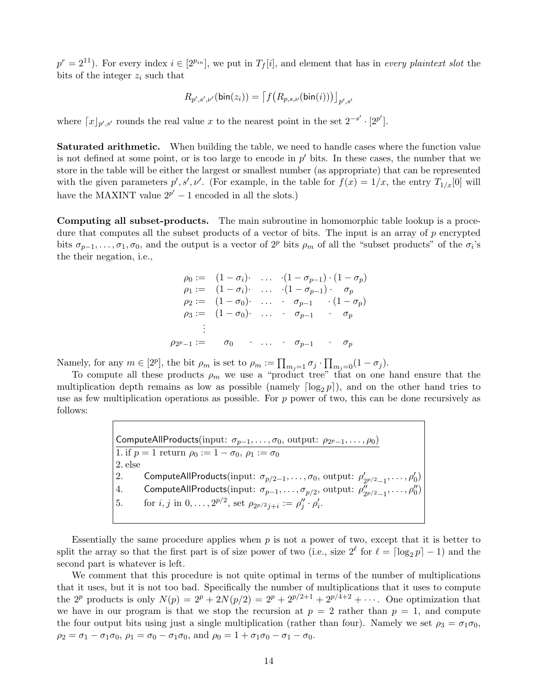$p^r = 2^{11}$ ). For every index  $i \in [2^{p_{in}}]$ , we put in  $T_f[i]$ , and element that has in every plaintext slot the bits of the integer  $z_i$  such that

$$
R_{p',s',\nu'}(\mathsf{bin}(z_i)) = \left\lceil f\big(R_{p,s,\nu}(\mathsf{bin}(i))\big) \right\rfloor_{p',s'}
$$

where  $\lceil x \rfloor_{p',s'}$  rounds the real value x to the nearest point in the set  $2^{-s'} \cdot [2^{p'}]$ .

Saturated arithmetic. When building the table, we need to handle cases where the function value is not defined at some point, or is too large to encode in  $p'$  bits. In these cases, the number that we store in the table will be either the largest or smallest number (as appropriate) that can be represented with the given parameters  $p', s', \nu'$ . (For example, in the table for  $f(x) = 1/x$ , the entry  $T_{1/x}[0]$  will have the MAXINT value  $2^{p'} - 1$  encoded in all the slots.)

Computing all subset-products. The main subroutine in homomorphic table lookup is a procedure that computes all the subset products of a vector of bits. The input is an array of  $p$  encrypted bits  $\sigma_{p-1},\ldots,\sigma_1,\sigma_0$ , and the output is a vector of  $2^p$  bits  $\rho_m$  of all the "subset products" of the  $\sigma_i$ 's the their negation, i.e.,

$$
\rho_0 := (1 - \sigma_i) \cdot \dots \cdot (1 - \sigma_{p-1}) \cdot (1 - \sigma_p) \n\rho_1 := (1 - \sigma_i) \cdot \dots \cdot (1 - \sigma_{p-1}) \cdot \sigma_p \n\rho_2 := (1 - \sigma_0) \cdot \dots \cdot \sigma_{p-1} \cdot (1 - \sigma_p) \n\rho_3 := (1 - \sigma_0) \cdot \dots \cdot \sigma_{p-1} \cdot \sigma_p \n\vdots \n\rho_{2^p-1} := \sigma_0 \cdot \dots \cdot \sigma_{p-1} \cdot \sigma_p
$$

Namely, for any  $m \in [2^p]$ , the bit  $\rho_m$  is set to  $\rho_m := \prod_{m_j=1} \sigma_j \cdot \prod_{m_j=0} (1 - \sigma_j)$ .

To compute all these products  $\rho_m$  we use a "product tree" that on one hand ensure that the multiplication depth remains as low as possible (namely  $\lceil \log_2 p \rceil$ ), and on the other hand tries to use as few multiplication operations as possible. For  $p$  power of two, this can be done recursively as follows:

> ComputeAllProducts(input:  $\sigma_{p-1}, \ldots, \sigma_0$ , output:  $\rho_{2^p-1}, \ldots, \rho_0$ ) 1. if  $p = 1$  return  $\rho_0 := 1 - \sigma_0$ ,  $\rho_1 := \sigma_0$ 2. else 2. ComputeAllProducts(input:  $\sigma_{p/2-1}, \ldots, \sigma_0$ , output:  $\rho'_5$  $\beta'_{2p/2-1}, \ldots, \rho'_0)$ 4. ComputeAllProducts(input:  $\sigma_{p-1}, \ldots, \sigma_{p/2}$ , output:  $\rho''_2$  $\frac{n}{2^{p/2}-1}, \ldots, \rho_0'')$ 5. for *i*, *j* in  $0, \ldots, 2^{p/2}$ , set  $\rho_{2^{p/2}j+i} := \rho''_j \cdot \rho'_i$ .

Essentially the same procedure applies when  $p$  is not a power of two, except that it is better to split the array so that the first part is of size power of two (i.e., size  $2^{\ell}$  for  $\ell = \lceil \log_2 p \rceil - 1$ ) and the second part is whatever is left.

We comment that this procedure is not quite optimal in terms of the number of multiplications that it uses, but it is not too bad. Specifically the number of multiplications that it uses to compute the 2<sup>p</sup> products is only  $N(p) = 2^p + 2N(p/2) = 2^p + 2^{p/2+1} + 2^{p/4+2} + \cdots$ . One optimization that we have in our program is that we stop the recursion at  $p = 2$  rather than  $p = 1$ , and compute the four output bits using just a single multiplication (rather than four). Namely we set  $\rho_3 = \sigma_1 \sigma_0$ ,  $\rho_2 = \sigma_1 - \sigma_1 \sigma_0$ ,  $\rho_1 = \sigma_0 - \sigma_1 \sigma_0$ , and  $\rho_0 = 1 + \sigma_1 \sigma_0 - \sigma_1 - \sigma_0$ .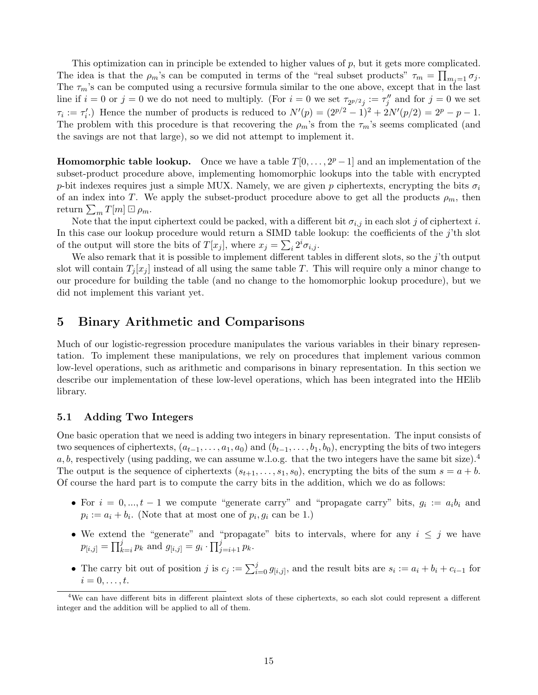This optimization can in principle be extended to higher values of p, but it gets more complicated. The idea is that the  $\rho_m$ 's can be computed in terms of the "real subset products"  $\tau_m = \prod_{m_j=1} \sigma_j$ . The  $\tau_m$ 's can be computed using a recursive formula similar to the one above, except that in the last line if  $i = 0$  or  $j = 0$  we do not need to multiply. (For  $i = 0$  we set  $\tau_{2^{p/2}j} := \tau_j''$  and for  $j = 0$  we set  $\tau_i := \tau'_i$ .) Hence the number of products is reduced to  $N'(p) = (2^{p/2} - 1)^2 + 2N'(p/2) = 2^p - p - 1$ . The problem with this procedure is that recovering the  $\rho_m$ 's from the  $\tau_m$ 's seems complicated (and the savings are not that large), so we did not attempt to implement it.

**Homomorphic table lookup.** Once we have a table  $T[0, \ldots, 2^p-1]$  and an implementation of the subset-product procedure above, implementing homomorphic lookups into the table with encrypted p-bit indexes requires just a simple MUX. Namely, we are given p ciphertexts, encrypting the bits  $\sigma_i$ of an index into T. We apply the subset-product procedure above to get all the products  $\rho_m$ , then return  $\sum_m T[m] \square \rho_m$ .

Note that the input ciphertext could be packed, with a different bit  $\sigma_{i,j}$  in each slot j of ciphertext i. In this case our lookup procedure would return a SIMD table lookup: the coefficients of the  $j$ 'th slot of the output will store the bits of  $T[x_j]$ , where  $x_j = \sum_i 2^i \sigma_{i,j}$ .

We also remark that it is possible to implement different tables in different slots, so the  $j'$ <sup>th</sup> output slot will contain  $T_i [x_i]$  instead of all using the same table T. This will require only a minor change to our procedure for building the table (and no change to the homomorphic lookup procedure), but we did not implement this variant yet.

### 5 Binary Arithmetic and Comparisons

Much of our logistic-regression procedure manipulates the various variables in their binary representation. To implement these manipulations, we rely on procedures that implement various common low-level operations, such as arithmetic and comparisons in binary representation. In this section we describe our implementation of these low-level operations, which has been integrated into the HElib library.

### 5.1 Adding Two Integers

One basic operation that we need is adding two integers in binary representation. The input consists of two sequences of ciphertexts,  $(a_{t-1}, \ldots, a_1, a_0)$  and  $(b_{t-1}, \ldots, b_1, b_0)$ , encrypting the bits of two integers a, b, respectively (using padding, we can assume w.l.o.g. that the two integers have the same bit size).<sup>4</sup> The output is the sequence of ciphertexts  $(s_{t+1}, \ldots, s_1, s_0)$ , encrypting the bits of the sum  $s = a + b$ . Of course the hard part is to compute the carry bits in the addition, which we do as follows:

- For  $i = 0, ..., t 1$  we compute "generate carry" and "propagate carry" bits,  $g_i := a_i b_i$  and  $p_i := a_i + b_i$ . (Note that at most one of  $p_i, g_i$  can be 1.)
- We extend the "generate" and "propagate" bits to intervals, where for any  $i \leq j$  we have  $p_{[i,j]} = \prod_{k=i}^{j} p_k$  and  $g_{[i,j]} = g_i \cdot \prod_{j=i+1}^{j} p_k$ .
- The carry bit out of position j is  $c_j := \sum_{i=0}^j g_{[i,j]}$ , and the result bits are  $s_i := a_i + b_i + c_{i-1}$  for  $i=0,\ldots,t$ .

<sup>&</sup>lt;sup>4</sup>We can have different bits in different plaintext slots of these ciphertexts, so each slot could represent a different integer and the addition will be applied to all of them.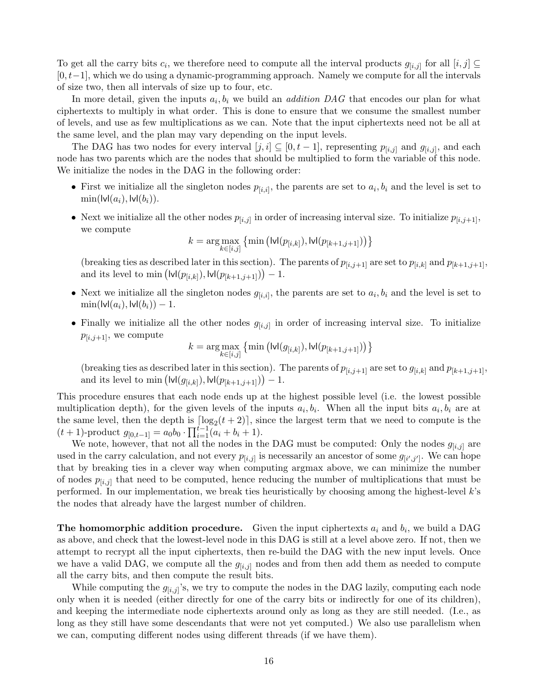To get all the carry bits  $c_i$ , we therefore need to compute all the interval products  $g_{[i,j]}$  for all  $[i,j] \subseteq$  $[0, t-1]$ , which we do using a dynamic-programming approach. Namely we compute for all the intervals of size two, then all intervals of size up to four, etc.

In more detail, given the inputs  $a_i, b_i$  we build an *addition DAG* that encodes our plan for what ciphertexts to multiply in what order. This is done to ensure that we consume the smallest number of levels, and use as few multiplications as we can. Note that the input ciphertexts need not be all at the same level, and the plan may vary depending on the input levels.

The DAG has two nodes for every interval  $[j, i] \subseteq [0, t - 1]$ , representing  $p_{[i,j]}$  and  $g_{[i,j]}$ , and each node has two parents which are the nodes that should be multiplied to form the variable of this node. We initialize the nodes in the DAG in the following order:

- First we initialize all the singleton nodes  $p_{[i,i]}$ , the parents are set to  $a_i, b_i$  and the level is set to  $min($ |v| $(a_i)$ , |v| $(b_i)$ ).
- Next we initialize all the other nodes  $p_{[i,j]}$  in order of increasing interval size. To initialize  $p_{[i,j+1]}$ , we compute

$$
k = \arg\max_{k \in [i,j]} \left\{ \min \left( \text{lvl}(p_{[i,k]}), \text{lvl}(p_{[k+1,j+1]}) \right) \right\}
$$

(breaking ties as described later in this section). The parents of  $p_{[i,j+1]}$  are set to  $p_{[i,k]}$  and  $p_{[k+1,j+1]}$ , and its level to min  $(\text{lvl}(p_{[i,k]}), \text{lvl}(p_{[k+1,j+1]})) - 1.$ 

- Next we initialize all the singleton nodes  $g_{[i,i]}$ , the parents are set to  $a_i, b_i$  and the level is set to  $\min(\text{lvl}(a_i), \text{lvl}(b_i)) - 1.$
- Finally we initialize all the other nodes  $g_{[i,j]}$  in order of increasing interval size. To initialize  $p_{[i,j+1]}$ , we compute

$$
k = \arg\max_{k \in [i,j]} \left\{ \min \left( \text{lvl}(g_{[i,k]}), \text{lvl}(p_{[k+1,j+1]}) \right) \right\}
$$

(breaking ties as described later in this section). The parents of  $p_{[i,j+1]}$  are set to  $g_{[i,k]}$  and  $p_{[k+1,j+1]}$ , and its level to min  $(\text{lvl}(g_{[i,k]}), \text{lvl}(p_{[k+1,j+1]})) - 1.$ 

This procedure ensures that each node ends up at the highest possible level (i.e. the lowest possible multiplication depth), for the given levels of the inputs  $a_i, b_i$ . When all the input bits  $a_i, b_i$  are at the same level, then the depth is  $\lceil \log_2(t + 2) \rceil$ , since the largest term that we need to compute is the  $(t + 1)$ -product  $g_{[0,t-1]} = a_0 b_0 \cdot \prod_{i=1}^{t-1} (a_i + b_i + 1).$ 

We note, however, that not all the nodes in the DAG must be computed: Only the nodes  $g_{[i,j]}$  are used in the carry calculation, and not every  $p_{[i,j]}$  is necessarily an ancestor of some  $g_{[i',j']}$ . We can hope that by breaking ties in a clever way when computing argmax above, we can minimize the number of nodes  $p_{[i,j]}$  that need to be computed, hence reducing the number of multiplications that must be performed. In our implementation, we break ties heuristically by choosing among the highest-level k's the nodes that already have the largest number of children.

**The homomorphic addition procedure.** Given the input ciphertexts  $a_i$  and  $b_i$ , we build a DAG as above, and check that the lowest-level node in this DAG is still at a level above zero. If not, then we attempt to recrypt all the input ciphertexts, then re-build the DAG with the new input levels. Once we have a valid DAG, we compute all the  $g_{[i,j]}$  nodes and from then add them as needed to compute all the carry bits, and then compute the result bits.

While computing the  $g_{[i,j]}$ 's, we try to compute the nodes in the DAG lazily, computing each node only when it is needed (either directly for one of the carry bits or indirectly for one of its children), and keeping the intermediate node ciphertexts around only as long as they are still needed. (I.e., as long as they still have some descendants that were not yet computed.) We also use parallelism when we can, computing different nodes using different threads (if we have them).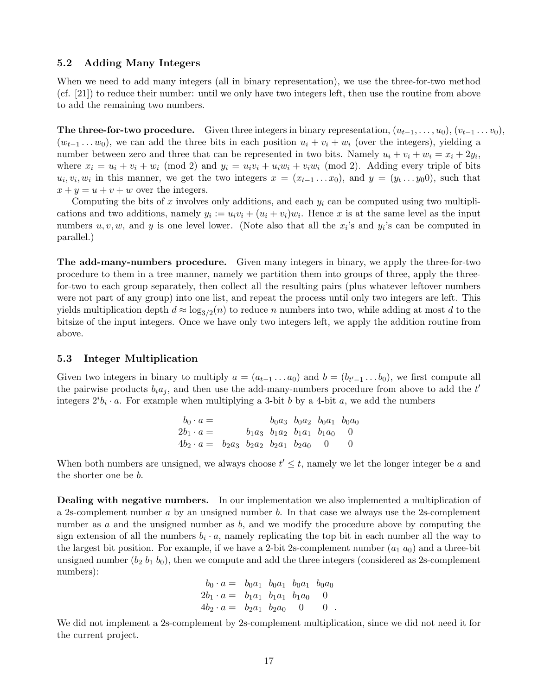#### 5.2 Adding Many Integers

When we need to add many integers (all in binary representation), we use the three-for-two method (cf. [21]) to reduce their number: until we only have two integers left, then use the routine from above to add the remaining two numbers.

The three-for-two procedure. Given three integers in binary representation,  $(u_{t-1}, \ldots, u_0)$ ,  $(v_{t-1} \ldots v_0)$ ,  $(w_{t-1} \ldots w_0)$ , we can add the three bits in each position  $u_i + v_i + w_i$  (over the integers), yielding a number between zero and three that can be represented in two bits. Namely  $u_i + v_i + w_i = x_i + 2y_i$ , where  $x_i = u_i + v_i + w_i \pmod{2}$  and  $y_i = u_i v_i + u_i w_i + v_i w_i \pmod{2}$ . Adding every triple of bits  $u_i, v_i, w_i$  in this manner, we get the two integers  $x = (x_{t-1} \ldots x_0)$ , and  $y = (y_t \ldots y_0 0)$ , such that  $x + y = u + v + w$  over the integers.

Computing the bits of  $x$  involves only additions, and each  $y_i$  can be computed using two multiplications and two additions, namely  $y_i := u_i v_i + (u_i + v_i) w_i$ . Hence x is at the same level as the input numbers  $u, v, w$ , and y is one level lower. (Note also that all the  $x_i$ 's and  $y_i$ 's can be computed in parallel.)

The add-many-numbers procedure. Given many integers in binary, we apply the three-for-two procedure to them in a tree manner, namely we partition them into groups of three, apply the threefor-two to each group separately, then collect all the resulting pairs (plus whatever leftover numbers were not part of any group) into one list, and repeat the process until only two integers are left. This yields multiplication depth  $d \approx \log_{3/2}(n)$  to reduce n numbers into two, while adding at most d to the bitsize of the input integers. Once we have only two integers left, we apply the addition routine from above.

#### 5.3 Integer Multiplication

Given two integers in binary to multiply  $a = (a_{t-1} \ldots a_0)$  and  $b = (b_{t'-1} \ldots b_0)$ , we first compute all the pairwise products  $b_i a_j$ , and then use the add-many-numbers procedure from above to add the  $t'$ integers  $2^{i}b_{i} \cdot a$ . For example when multiplying a 3-bit b by a 4-bit a, we add the numbers

| $b_0 \cdot a =$                                                            |  | $b_0a_3$ $b_0a_2$ $b_0a_1$ $b_0a_0$   |  |
|----------------------------------------------------------------------------|--|---------------------------------------|--|
| $2b_1 \cdot a =$                                                           |  | $b_1a_3$ $b_1a_2$ $b_1a_1$ $b_1a_0$ 0 |  |
| $4b_2 \cdot a = b_2 a_3 \quad b_2 a_2 \quad b_2 a_1 \quad b_2 a_0 \quad 0$ |  |                                       |  |

When both numbers are unsigned, we always choose  $t' \leq t$ , namely we let the longer integer be a and the shorter one be b.

Dealing with negative numbers. In our implementation we also implemented a multiplication of a 2s-complement number  $a$  by an unsigned number  $b$ . In that case we always use the 2s-complement number as  $a$  and the unsigned number as  $b$ , and we modify the procedure above by computing the sign extension of all the numbers  $b_i \cdot a$ , namely replicating the top bit in each number all the way to the largest bit position. For example, if we have a 2-bit 2s-complement number  $(a_1, a_0)$  and a three-bit unsigned number  $(b_2 b_1 b_0)$ , then we compute and add the three integers (considered as 2s-complement numbers):

$$
b_0 \cdot a = b_0 a_1 \quad b_0 a_1 \quad b_0 a_1 \quad b_0 a_0
$$
  
\n
$$
2b_1 \cdot a = b_1 a_1 \quad b_1 a_1 \quad b_1 a_0 \quad 0
$$
  
\n
$$
4b_2 \cdot a = b_2 a_1 \quad b_2 a_0 \quad 0 \quad 0
$$

We did not implement a 2s-complement by 2s-complement multiplication, since we did not need it for the current project.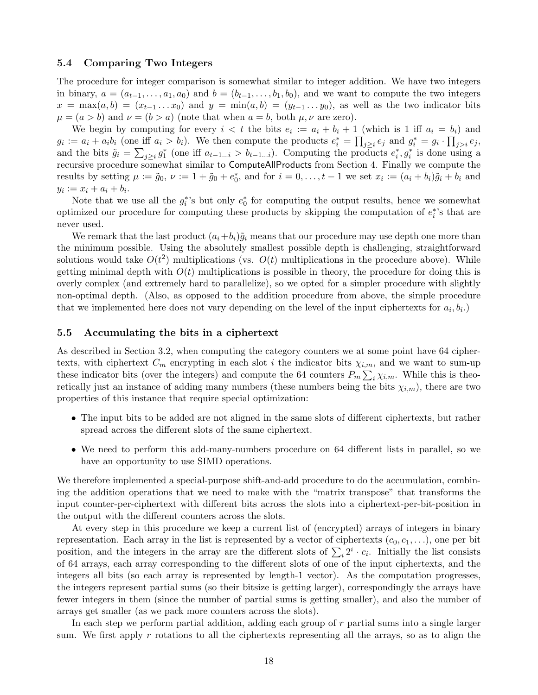#### 5.4 Comparing Two Integers

The procedure for integer comparison is somewhat similar to integer addition. We have two integers in binary,  $a = (a_{t-1}, \ldots, a_1, a_0)$  and  $b = (b_{t-1}, \ldots, b_1, b_0)$ , and we want to compute the two integers  $x = \max(a, b) = (x_{t-1} \dots x_0)$  and  $y = \min(a, b) = (y_{t-1} \dots y_0)$ , as well as the two indicator bits  $\mu = (a > b)$  and  $\nu = (b > a)$  (note that when  $a = b$ , both  $\mu, \nu$  are zero).

We begin by computing for every  $i < t$  the bits  $e_i := a_i + b_i + 1$  (which is 1 iff  $a_i = b_i$ ) and  $g_i := a_i + a_i b_i$  (one iff  $a_i > b_i$ ). We then compute the products  $e_i^* = \prod_{j \geq i} e_j$  and  $g_i^* = g_i \cdot \prod_{j > i} e_j$ , and the bits  $\tilde{g}_i = \sum_{j\geq i} g_1^*$  (one iff  $a_{t-1...i} > b_{t-1...i}$ ). Computing the products  $e_i^*, g_i^*$  is done using a recursive procedure somewhat similar to ComputeAllProducts from Section 4. Finally we compute the results by setting  $\mu := \tilde{g}_0, \nu := 1 + \tilde{g}_0 + e_0^*$ , and for  $i = 0, \ldots, t - 1$  we set  $x_i := (a_i + b_i)\tilde{g}_i + b_i$  and  $y_i := x_i + a_i + b_i.$ 

Note that we use all the  $g_i^*$ 's but only  $e_0^*$  for computing the output results, hence we somewhat optimized our procedure for computing these products by skipping the computation of  $e_i^*$ 's that are never used.

We remark that the last product  $(a_i + b_i)\tilde{g}_i$  means that our procedure may use depth one more than the minimum possible. Using the absolutely smallest possible depth is challenging, straightforward solutions would take  $O(t^2)$  multiplications (vs.  $O(t)$  multiplications in the procedure above). While getting minimal depth with  $O(t)$  multiplications is possible in theory, the procedure for doing this is overly complex (and extremely hard to parallelize), so we opted for a simpler procedure with slightly non-optimal depth. (Also, as opposed to the addition procedure from above, the simple procedure that we implemented here does not vary depending on the level of the input ciphertexts for  $a_i, b_i$ .)

#### 5.5 Accumulating the bits in a ciphertext

As described in Section 3.2, when computing the category counters we at some point have 64 ciphertexts, with ciphertext  $C_m$  encrypting in each slot i the indicator bits  $\chi_{i,m}$ , and we want to sum-up these indicator bits (over the integers) and compute the 64 counters  $P_m \sum_i \chi_{i,m}$ . While this is theoretically just an instance of adding many numbers (these numbers being the bits  $\chi_{i,m}$ ), there are two properties of this instance that require special optimization:

- The input bits to be added are not aligned in the same slots of different ciphertexts, but rather spread across the different slots of the same ciphertext.
- We need to perform this add-many-numbers procedure on 64 different lists in parallel, so we have an opportunity to use SIMD operations.

We therefore implemented a special-purpose shift-and-add procedure to do the accumulation, combining the addition operations that we need to make with the "matrix transpose" that transforms the input counter-per-ciphertext with different bits across the slots into a ciphertext-per-bit-position in the output with the different counters across the slots.

At every step in this procedure we keep a current list of (encrypted) arrays of integers in binary representation. Each array in the list is represented by a vector of ciphertexts  $(c_0, c_1, \ldots)$ , one per bit position, and the integers in the array are the different slots of  $\sum_i 2^i \cdot c_i$ . Initially the list consists of 64 arrays, each array corresponding to the different slots of one of the input ciphertexts, and the integers all bits (so each array is represented by length-1 vector). As the computation progresses, the integers represent partial sums (so their bitsize is getting larger), correspondingly the arrays have fewer integers in them (since the number of partial sums is getting smaller), and also the number of arrays get smaller (as we pack more counters across the slots).

In each step we perform partial addition, adding each group of r partial sums into a single larger sum. We first apply r rotations to all the ciphertexts representing all the arrays, so as to align the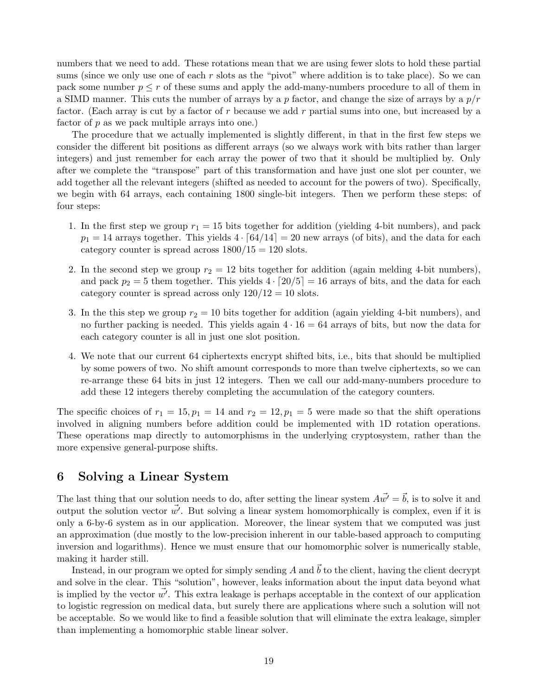numbers that we need to add. These rotations mean that we are using fewer slots to hold these partial sums (since we only use one of each  $r$  slots as the "pivot" where addition is to take place). So we can pack some number  $p \le r$  of these sums and apply the add-many-numbers procedure to all of them in a SIMD manner. This cuts the number of arrays by a p factor, and change the size of arrays by a  $p/r$ factor. (Each array is cut by a factor of r because we add r partial sums into one, but increased by a factor of  $p$  as we pack multiple arrays into one.)

The procedure that we actually implemented is slightly different, in that in the first few steps we consider the different bit positions as different arrays (so we always work with bits rather than larger integers) and just remember for each array the power of two that it should be multiplied by. Only after we complete the "transpose" part of this transformation and have just one slot per counter, we add together all the relevant integers (shifted as needed to account for the powers of two). Specifically, we begin with 64 arrays, each containing 1800 single-bit integers. Then we perform these steps: of four steps:

- 1. In the first step we group  $r_1 = 15$  bits together for addition (yielding 4-bit numbers), and pack  $p_1 = 14$  arrays together. This yields  $4 \cdot \lceil 64/14 \rceil = 20$  new arrays (of bits), and the data for each category counter is spread across  $1800/15 = 120$  slots.
- 2. In the second step we group  $r_2 = 12$  bits together for addition (again melding 4-bit numbers), and pack  $p_2 = 5$  them together. This yields  $4 \cdot [20/5] = 16$  arrays of bits, and the data for each category counter is spread across only  $120/12 = 10$  slots.
- 3. In the this step we group  $r_2 = 10$  bits together for addition (again yielding 4-bit numbers), and no further packing is needed. This yields again  $4 \cdot 16 = 64$  arrays of bits, but now the data for each category counter is all in just one slot position.
- 4. We note that our current 64 ciphertexts encrypt shifted bits, i.e., bits that should be multiplied by some powers of two. No shift amount corresponds to more than twelve ciphertexts, so we can re-arrange these 64 bits in just 12 integers. Then we call our add-many-numbers procedure to add these 12 integers thereby completing the accumulation of the category counters.

The specific choices of  $r_1 = 15$ ,  $p_1 = 14$  and  $r_2 = 12$ ,  $p_1 = 5$  were made so that the shift operations involved in aligning numbers before addition could be implemented with 1D rotation operations. These operations map directly to automorphisms in the underlying cryptosystem, rather than the more expensive general-purpose shifts.

## 6 Solving a Linear System

The last thing that our solution needs to do, after setting the linear system  $A\vec{w'} = \vec{b}$ , is to solve it and output the solution vector  $\vec{w'}$ . But solving a linear system homomorphically is complex, even if it is only a 6-by-6 system as in our application. Moreover, the linear system that we computed was just an approximation (due mostly to the low-precision inherent in our table-based approach to computing inversion and logarithms). Hence we must ensure that our homomorphic solver is numerically stable, making it harder still.

Instead, in our program we opted for simply sending A and  $\vec{b}$  to the client, having the client decrypt and solve in the clear. This "solution", however, leaks information about the input data beyond what is implied by the vector  $\vec{w'}$ . This extra leakage is perhaps acceptable in the context of our application to logistic regression on medical data, but surely there are applications where such a solution will not be acceptable. So we would like to find a feasible solution that will eliminate the extra leakage, simpler than implementing a homomorphic stable linear solver.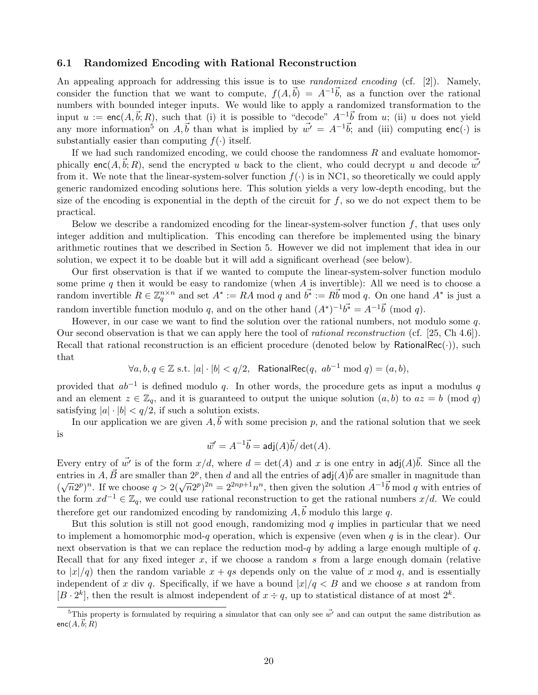#### 6.1 Randomized Encoding with Rational Reconstruction

An appealing approach for addressing this issue is to use *randomized encoding* (cf.  $[2]$ ). Namely, consider the function that we want to compute,  $f(A,\vec{b}) = A^{-1}\vec{b}$ , as a function over the rational numbers with bounded integer inputs. We would like to apply a randomized transformation to the input  $u := \textsf{enc}(A, \vec{b}; R)$ , such that (i) it is possible to "decode"  $A^{-1}\vec{b}$  from u; (ii) u does not yield any more information<sup>5</sup> on  $A, \vec{b}$  than what is implied by  $\vec{w'} = A^{-1}\vec{b}$ ; and (iii) computing enc(·) is substantially easier than computing  $f(.)$  itself.

If we had such randomized encoding, we could choose the randomness  $R$  and evaluate homomorphically enc $(A,\vec{b};R)$ , send the encrypted u back to the client, who could decrypt u and decode  $\vec{w'}$ from it. We note that the linear-system-solver function  $f(\cdot)$  is in NC1, so theoretically we could apply generic randomized encoding solutions here. This solution yields a very low-depth encoding, but the size of the encoding is exponential in the depth of the circuit for  $f$ , so we do not expect them to be practical.

Below we describe a randomized encoding for the linear-system-solver function  $f$ , that uses only integer addition and multiplication. This encoding can therefore be implemented using the binary arithmetic routines that we described in Section 5. However we did not implement that idea in our solution, we expect it to be doable but it will add a significant overhead (see below).

Our first observation is that if we wanted to compute the linear-system-solver function modulo some prime q then it would be easy to randomize (when  $A$  is invertible): All we need is to choose a random invertible  $R \in \mathbb{Z}_q^{n \times n}$  and set  $A^* := RA \mod q$  and  $\vec{b^*} := R\vec{b} \mod q$ . On one hand  $A^*$  is just a random invertible function modulo q, and on the other hand  $(A^*)^{-1}b^* = A^{-1}\vec{b} \pmod{q}$ .

However, in our case we want to find the solution over the rational numbers, not modulo some q. Our second observation is that we can apply here the tool of *rational reconstruction* (cf. [25, Ch 4.6]). Recall that rational reconstruction is an efficient procedure (denoted below by RationalRec $(\cdot)$ ), such that

$$
\forall a, b, q \in \mathbb{Z} \text{ s.t. } |a| \cdot |b| < q/2, \quad \text{RationalRec}(q, \ ab^{-1} \ \text{mod } q) = (a, b),
$$

provided that  $ab^{-1}$  is defined modulo q. In other words, the procedure gets as input a modulus q and an element  $z \in \mathbb{Z}_q$ , and it is guaranteed to output the unique solution  $(a, b)$  to  $az = b \pmod{q}$ satisfying  $|a| \cdot |b| < q/2$ , if such a solution exists.

In our application we are given  $A, \vec{b}$  with some precision p, and the rational solution that we seek is

$$
\vec{w}' = A^{-1}\vec{b} = \text{adj}(A)\vec{b}/\det(A).
$$

Every entry of  $\vec{w'}$  is of the form  $x/d$ , where  $d = \det(A)$  and x is one entry in  $\text{adj}(A)\vec{b}$ . Since all the entries in  $\vec{A}, \vec{B}$  are smaller than  $2^p$ , then d and all the entries of  $adj(A)\vec{b}$  are smaller in magnitude than entries in A, D are smaller than 2<sup>o</sup>, then a and an the entries of adj(A)<sup>0</sup> are smaller in magnitude than  $(\sqrt{n}2^p)^n$ . If we choose  $q > 2(\sqrt{n}2^p)^{2n} = 2^{2np+1}n^n$ , then given the solution  $A^{-1}\vec{b}$  mod q with entries of the form  $xd^{-1} \in \mathbb{Z}_q$ , we could use rational reconstruction to get the rational numbers  $x/d$ . We could therefore get our randomized encoding by randomizing  $A, \vec{b}$  modulo this large q.

But this solution is still not good enough, randomizing mod  $q$  implies in particular that we need to implement a homomorphic mod-q operation, which is expensive (even when  $q$  is in the clear). Our next observation is that we can replace the reduction mod-q by adding a large enough multiple of q. Recall that for any fixed integer  $x$ , if we choose a random s from a large enough domain (relative to  $|x|/q$  then the random variable  $x + qs$  depends only on the value of x mod q, and is essentially independent of x div q. Specifically, if we have a bound  $|x|/q < B$  and we choose s at random from  $[B \cdot 2^k]$ , then the result is almost independent of  $x \div q$ , up to statistical distance of at most  $2^k$ .

<sup>&</sup>lt;sup>5</sup>This property is formulated by requiring a simulator that can only see  $\vec{w'}$  and can output the same distribution as enc $(A, \vec{b}; R)$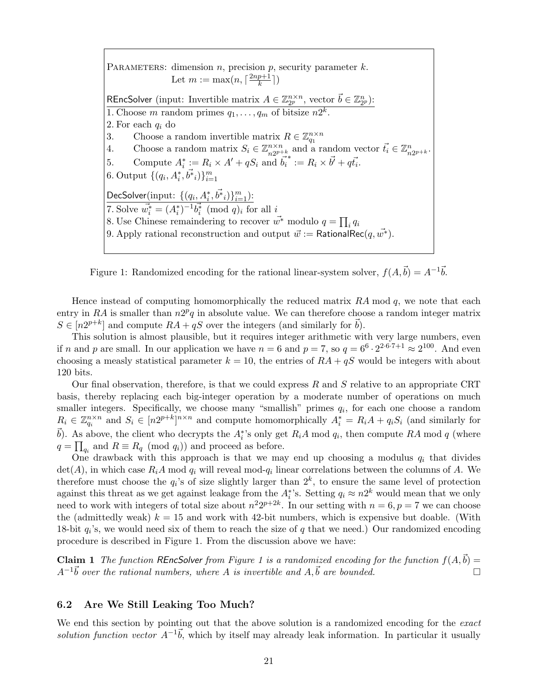PARAMETERS: dimension  $n$ , precision  $p$ , security parameter  $k$ . Let  $m := \max(n, \lceil \frac{2np+1}{k} \rceil$  $\binom{p+1}{k}$ REncSolver (input: Invertible matrix  $A \in \mathbb{Z}_{2^p}^{n \times n}$ , vector  $\vec{b} \in \mathbb{Z}_{2^p}^n$ ): 1. Choose m random primes  $q_1, \ldots, q_m$  of bitsize  $n2^k$ . 2. For each  $q_i$  do 3. Choose a random invertible matrix  $R \in \mathbb{Z}_{q_1}^{n \times n}$ 4. Choose a random matrix  $S_i \in \mathbb{Z}_{n2p+1}^{n \times n}$  $\sum_{n=2^{p+k}}^{n \times n}$  and a random vector  $\vec{t}_i \in \mathbb{Z}_n^n$ and a random vector  $\vec{t}_i \in \mathbb{Z}_{n2^{p+k}}^n$ . 5. Compute  $A_i^* := R_i \times A' + qS_i$  and  $\vec{b_i}^* := R_i \times \vec{b'} + q\vec{t_i}$ . 6. Output  $\{(q_i, A_i^*, \vec{b_i})\}_{i=1}^m$ DecSolver $(\text{input: } \{(q_i, A_i^*, \vec{b^*}_i)\}_{i=1}^m)$ : 7. Solve  $\vec{w_i^*} = (A_i^*)^{-1} \vec{b_i^*}$  (mod  $q)_i$  for all i 8. Use Chinese remaindering to recover  $\vec{w^*}$  modulo  $q = \prod_i q_i$ 9. Apply rational reconstruction and output  $\vec{w} := \mathsf{RationalRec}(q, \vec{w^*})$ .

Figure 1: Randomized encoding for the rational linear-system solver,  $f(A,\vec{b}) = A^{-1}\vec{b}$ .

Hence instead of computing homomorphically the reduced matrix  $RA \mod q$ , we note that each entry in RA is smaller than  $n2^pq$  in absolute value. We can therefore choose a random integer matrix  $S \in [n2^{p+k}]$  and compute  $RA + qS$  over the integers (and similarly for  $\vec{b}$ ).

This solution is almost plausible, but it requires integer arithmetic with very large numbers, even if n and p are small. In our application we have  $n = 6$  and  $p = 7$ , so  $q = 6^6 \cdot 2^{2 \cdot 6 \cdot 7 + 1} \approx 2^{100}$ . And even choosing a measly statistical parameter  $k = 10$ , the entries of  $RA + qS$  would be integers with about 120 bits.

Our final observation, therefore, is that we could express  $R$  and  $S$  relative to an appropriate CRT basis, thereby replacing each big-integer operation by a moderate number of operations on much smaller integers. Specifically, we choose many "smallish" primes  $q_i$ , for each one choose a random  $R_i \in \mathbb{Z}_{q_i}^{n \times n}$  and  $S_i \in [n2^{p+k}]^{n \times n}$  and compute homomorphically  $A_i^* = R_i A + q_i S_i$  (and similarly for  $\vec{b}$ ). As above, the client who decrypts the  $A_i^*$ 's only get  $R_iA \mod q_i$ , then compute  $RA \mod q$  (where  $q = \prod_{q_i}$  and  $R \equiv R_q \pmod{q_i}$  and proceed as before.

One drawback with this approach is that we may end up choosing a modulus  $q_i$  that divides  $\det(A)$ , in which case  $R_iA \mod q_i$  will reveal mod- $q_i$  linear correlations between the columns of A. We therefore must choose the  $q_i$ 's of size slightly larger than  $2^k$ , to ensure the same level of protection against this threat as we get against leakage from the  $A_i^*$ 's. Setting  $q_i \approx n2^k$  would mean that we only need to work with integers of total size about  $n^2 2^{p+2k}$ . In our setting with  $n = 6, p = 7$  we can choose the (admittedly weak)  $k = 15$  and work with 42-bit numbers, which is expensive but doable. (With 18-bit  $q_i$ 's, we would need six of them to reach the size of q that we need.) Our randomized encoding procedure is described in Figure 1. From the discussion above we have:

**Claim 1** The function REncSolver from Figure 1 is a randomized encoding for the function  $f(A,\vec{b}) =$  $A^{-1} \vec{b}$  over the rational numbers, where A is invertible and A,  $\vec{b}$  are bounded.

#### 6.2 Are We Still Leaking Too Much?

We end this section by pointing out that the above solution is a randomized encoding for the exact solution function vector  $A^{-1}\vec{b}$ , which by itself may already leak information. In particular it usually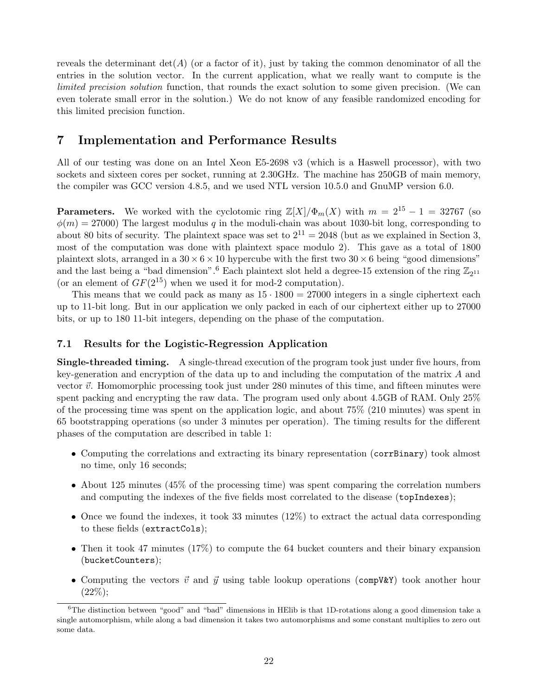reveals the determinant  $\det(A)$  (or a factor of it), just by taking the common denominator of all the entries in the solution vector. In the current application, what we really want to compute is the limited precision solution function, that rounds the exact solution to some given precision. (We can even tolerate small error in the solution.) We do not know of any feasible randomized encoding for this limited precision function.

# 7 Implementation and Performance Results

All of our testing was done on an Intel Xeon E5-2698 v3 (which is a Haswell processor), with two sockets and sixteen cores per socket, running at 2.30GHz. The machine has 250GB of main memory, the compiler was GCC version 4.8.5, and we used NTL version 10.5.0 and GnuMP version 6.0.

**Parameters.** We worked with the cyclotomic ring  $\mathbb{Z}[X]/\Phi_m(X)$  with  $m = 2^{15} - 1 = 32767$  (so  $\phi(m) = 27000$ ) The largest modulus q in the moduli-chain was about 1030-bit long, corresponding to about 80 bits of security. The plaintext space was set to  $2^{11} = 2048$  (but as we explained in Section 3, most of the computation was done with plaintext space modulo 2). This gave as a total of 1800 plaintext slots, arranged in a  $30 \times 6 \times 10$  hypercube with the first two  $30 \times 6$  being "good dimensions" and the last being a "bad dimension".<sup>6</sup> Each plaintext slot held a degree-15 extension of the ring  $\mathbb{Z}_{2^{11}}$ (or an element of  $GF(2^{15})$  when we used it for mod-2 computation).

This means that we could pack as many as  $15 \cdot 1800 = 27000$  integers in a single ciphertext each up to 11-bit long. But in our application we only packed in each of our ciphertext either up to 27000 bits, or up to 180 11-bit integers, depending on the phase of the computation.

### 7.1 Results for the Logistic-Regression Application

Single-threaded timing. A single-thread execution of the program took just under five hours, from key-generation and encryption of the data up to and including the computation of the matrix A and vector  $\vec{v}$ . Homomorphic processing took just under 280 minutes of this time, and fifteen minutes were spent packing and encrypting the raw data. The program used only about 4.5GB of RAM. Only 25% of the processing time was spent on the application logic, and about 75% (210 minutes) was spent in 65 bootstrapping operations (so under 3 minutes per operation). The timing results for the different phases of the computation are described in table 1:

- Computing the correlations and extracting its binary representation (corrBinary) took almost no time, only 16 seconds;
- About 125 minutes (45% of the processing time) was spent comparing the correlation numbers and computing the indexes of the five fields most correlated to the disease (topIndexes);
- Once we found the indexes, it took 33 minutes (12%) to extract the actual data corresponding to these fields (extractCols);
- Then it took 47 minutes (17%) to compute the 64 bucket counters and their binary expansion (bucketCounters);
- Computing the vectors  $\vec{v}$  and  $\vec{y}$  using table lookup operations (compV&Y) took another hour  $(22\%)$ ;

 $6$ The distinction between "good" and "bad" dimensions in HElib is that 1D-rotations along a good dimension take a single automorphism, while along a bad dimension it takes two automorphisms and some constant multiplies to zero out some data.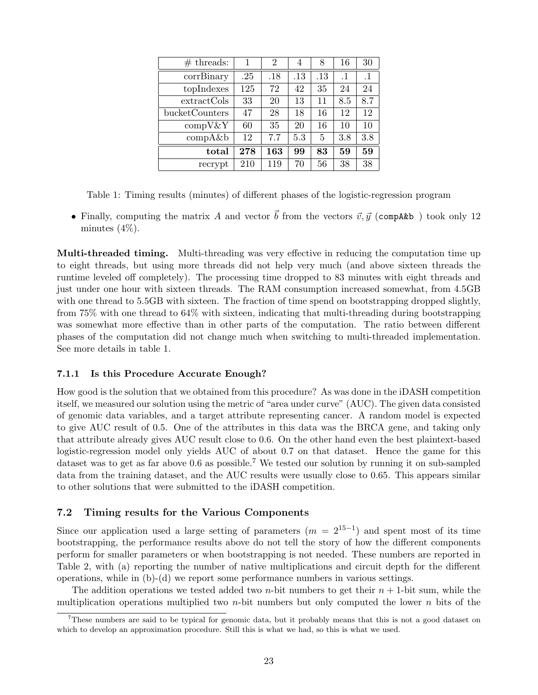| $#$ threads:     | 1   | $\overline{2}$ | 4   | 8   | 16        | 30        |
|------------------|-----|----------------|-----|-----|-----------|-----------|
| corrBinary       | .25 | .18            | .13 | .13 | $\cdot$ 1 | $\cdot$ 1 |
| topIndexes       | 125 | 72             | 42  | 35  | 24        | 24        |
| extractCols      | 33  | 20             | 13  | 11  | 8.5       | 8.7       |
| bucketCounters   | 47  | 28             | 18  | 16  | 12        | 12        |
| $\text{compV&Y}$ | 60  | 35             | 20  | 16  | 10        | 10        |
| compA&b          | 12  | 7.7            | 5.3 | 5   | 3.8       | 3.8       |
| total            | 278 | 163            | 99  | 83  | 59        | 59        |
| recrypt          | 210 | 119            | 70  | 56  | 38        | 38        |

Table 1: Timing results (minutes) of different phases of the logistic-regression program

• Finally, computing the matrix A and vector  $\vec{b}$  from the vectors  $\vec{v}, \vec{y}$  (compA&b) took only 12 minutes (4%).

Multi-threaded timing. Multi-threading was very effective in reducing the computation time up to eight threads, but using more threads did not help very much (and above sixteen threads the runtime leveled off completely). The processing time dropped to 83 minutes with eight threads and just under one hour with sixteen threads. The RAM consumption increased somewhat, from 4.5GB with one thread to 5.5GB with sixteen. The fraction of time spend on bootstrapping dropped slightly, from 75% with one thread to 64% with sixteen, indicating that multi-threading during bootstrapping was somewhat more effective than in other parts of the computation. The ratio between different phases of the computation did not change much when switching to multi-threaded implementation. See more details in table 1.

### 7.1.1 Is this Procedure Accurate Enough?

How good is the solution that we obtained from this procedure? As was done in the iDASH competition itself, we measured our solution using the metric of "area under curve" (AUC). The given data consisted of genomic data variables, and a target attribute representing cancer. A random model is expected to give AUC result of 0.5. One of the attributes in this data was the BRCA gene, and taking only that attribute already gives AUC result close to 0.6. On the other hand even the best plaintext-based logistic-regression model only yields AUC of about 0.7 on that dataset. Hence the game for this dataset was to get as far above 0.6 as possible.<sup>7</sup> We tested our solution by running it on sub-sampled data from the training dataset, and the AUC results were usually close to 0.65. This appears similar to other solutions that were submitted to the iDASH competition.

### 7.2 Timing results for the Various Components

Since our application used a large setting of parameters  $(m = 2^{15-1})$  and spent most of its time bootstrapping, the performance results above do not tell the story of how the different components perform for smaller parameters or when bootstrapping is not needed. These numbers are reported in Table 2, with (a) reporting the number of native multiplications and circuit depth for the different operations, while in (b)-(d) we report some performance numbers in various settings.

The addition operations we tested added two *n*-bit numbers to get their  $n + 1$ -bit sum, while the multiplication operations multiplied two *n*-bit numbers but only computed the lower *n* bits of the

<sup>7</sup>These numbers are said to be typical for genomic data, but it probably means that this is not a good dataset on which to develop an approximation procedure. Still this is what we had, so this is what we used.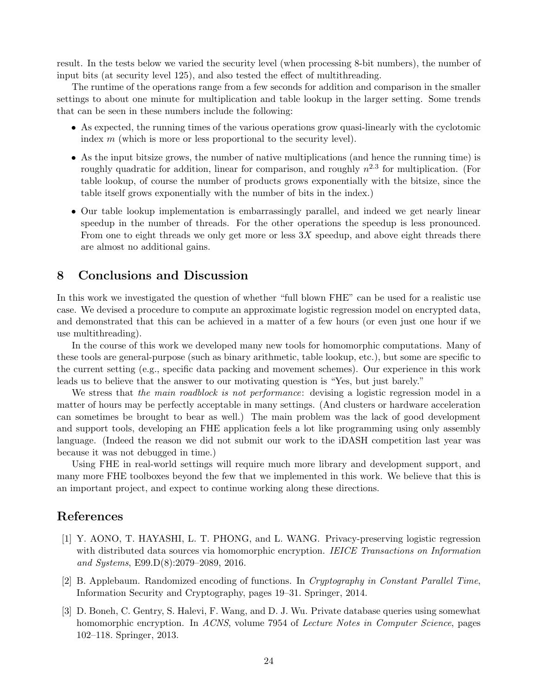result. In the tests below we varied the security level (when processing 8-bit numbers), the number of input bits (at security level 125), and also tested the effect of multithreading.

The runtime of the operations range from a few seconds for addition and comparison in the smaller settings to about one minute for multiplication and table lookup in the larger setting. Some trends that can be seen in these numbers include the following:

- As expected, the running times of the various operations grow quasi-linearly with the cyclotomic index  $m$  (which is more or less proportional to the security level).
- As the input bitsize grows, the number of native multiplications (and hence the running time) is roughly quadratic for addition, linear for comparison, and roughly  $n^{2.3}$  for multiplication. (For table lookup, of course the number of products grows exponentially with the bitsize, since the table itself grows exponentially with the number of bits in the index.)
- Our table lookup implementation is embarrassingly parallel, and indeed we get nearly linear speedup in the number of threads. For the other operations the speedup is less pronounced. From one to eight threads we only get more or less 3X speedup, and above eight threads there are almost no additional gains.

### 8 Conclusions and Discussion

In this work we investigated the question of whether "full blown FHE" can be used for a realistic use case. We devised a procedure to compute an approximate logistic regression model on encrypted data, and demonstrated that this can be achieved in a matter of a few hours (or even just one hour if we use multithreading).

In the course of this work we developed many new tools for homomorphic computations. Many of these tools are general-purpose (such as binary arithmetic, table lookup, etc.), but some are specific to the current setting (e.g., specific data packing and movement schemes). Our experience in this work leads us to believe that the answer to our motivating question is "Yes, but just barely."

We stress that the main roadblock is not performance: devising a logistic regression model in a matter of hours may be perfectly acceptable in many settings. (And clusters or hardware acceleration can sometimes be brought to bear as well.) The main problem was the lack of good development and support tools, developing an FHE application feels a lot like programming using only assembly language. (Indeed the reason we did not submit our work to the iDASH competition last year was because it was not debugged in time.)

Using FHE in real-world settings will require much more library and development support, and many more FHE toolboxes beyond the few that we implemented in this work. We believe that this is an important project, and expect to continue working along these directions.

### References

- [1] Y. AONO, T. HAYASHI, L. T. PHONG, and L. WANG. Privacy-preserving logistic regression with distributed data sources via homomorphic encryption. *IEICE Transactions on Information* and Systems, E99.D(8):2079–2089, 2016.
- [2] B. Applebaum. Randomized encoding of functions. In Cryptography in Constant Parallel Time, Information Security and Cryptography, pages 19–31. Springer, 2014.
- [3] D. Boneh, C. Gentry, S. Halevi, F. Wang, and D. J. Wu. Private database queries using somewhat homomorphic encryption. In ACNS, volume 7954 of Lecture Notes in Computer Science, pages 102–118. Springer, 2013.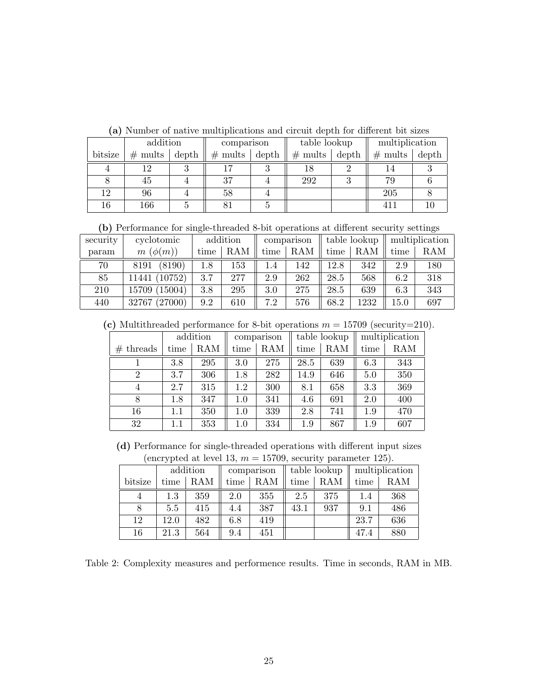(a) Number of native multiplications and circuit depth for different bit sizes

|         | addition  |       | comparison |       | table lookup |       | multiplication |       |
|---------|-----------|-------|------------|-------|--------------|-------|----------------|-------|
| bitsize | $#$ mults | depth | $#$ mults  | depth | $#$ mults    | depth | $#$ mults      | depth |
|         | 12        | ച     |            |       | 18           |       |                |       |
|         | 45        |       | 37         |       | 292          | ച     | 79             |       |
| 12      | 96        |       | 58         |       |              |       | 205            |       |
| 16      | 166       |       |            |       |              |       | 411            | 10    |

(b) Performance for single-threaded 8-bit operations at different security settings

| security | cyclotomic       | addition |     | comparison |     | table lookup |      | multiplication |     |
|----------|------------------|----------|-----|------------|-----|--------------|------|----------------|-----|
| param    | $m(\phi(m))$     | time     | RAM | time       | RAM | time         | RAM  | time           | RAM |
| 70       | (8190)<br>8191   | $1.8\,$  | 153 | 1.4        | 142 | 12.8         | 342  | 2.9            | 180 |
| 85       | (10752)<br>11441 | 3.7      | 277 | 2.9        | 262 | 28.5         | 568  | 6.2            | 318 |
| 210      | 15709 (15004)    | 3.8      | 295 | 3.0        | 275 | 28.5         | 639  | 6.3            | 343 |
| 440      | (27000)<br>32767 | 9.2      | 610 | 7.2        | 576 | 68.2         | 1232 | $15.0\,$       | 697 |

(c) Multithreaded performance for 8-bit operations  $m = 15709$  (security=210).

|                | addition    |     | comparison |     | table lookup |     | multiplication |     |
|----------------|-------------|-----|------------|-----|--------------|-----|----------------|-----|
| #<br>threads   | RAM<br>time |     | time       | RAM | time         | RAM | time           | RAM |
|                | 3.8         | 295 | 3.0        | 275 | 28.5         | 639 | 6.3            | 343 |
| $\overline{2}$ | 3.7         | 306 | 1.8        | 282 | 14.9         | 646 | 5.0            | 350 |
| 4              | 2.7         | 315 | $1.2\,$    | 300 | 8.1          | 658 | 3.3            | 369 |
| 8              | 1.8         | 347 | 1.0        | 341 | 4.6          | 691 | 2.0            | 400 |
| 16             | 1.1         | 350 | $1.0\,$    | 339 | 2.8          | 741 | 1.9            | 470 |
| 32             | 1.1         | 353 | $1.0\,$    | 334 | 1.9          | 867 | 1.9            | 607 |

(d) Performance for single-threaded operations with different input sizes (encrypted at level 13,  $m = 15709$ , security parameter 125).

|         | addition |     | comparison |     |      | table lookup | multiplication |            |
|---------|----------|-----|------------|-----|------|--------------|----------------|------------|
| bitsize | time     | RAM | time       | RAM | time | <b>RAM</b>   | time           | <b>RAM</b> |
|         | $1.3\,$  | 359 | 2.0        | 355 | 2.5  | 375          | 1.4            | 368        |
|         | 5.5      | 415 | 4.4        | 387 | 43.1 | 937          | 9.1            | 486        |
| 12      | 12.0     | 482 | 6.8        | 419 |      |              | 23.7           | 636        |
| 16      | 21.3     | 564 | 9.4        | 451 |      |              | 47.4           | 880        |

Table 2: Complexity measures and performence results. Time in seconds, RAM in MB.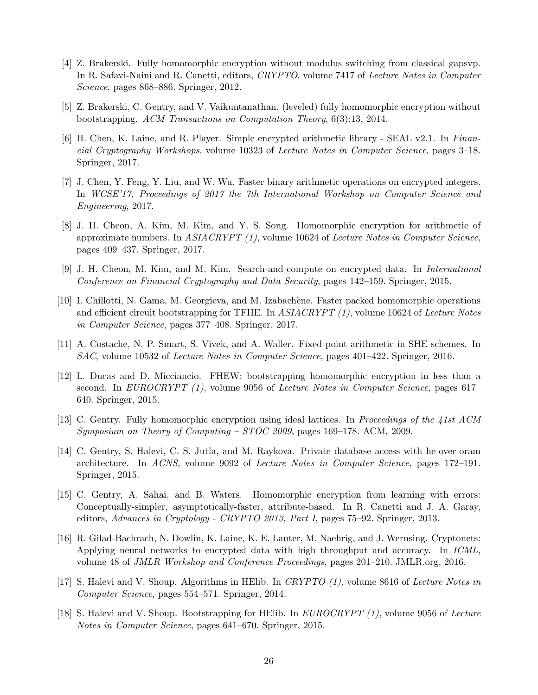- [4] Z. Brakerski. Fully homomorphic encryption without modulus switching from classical gapsvp. In R. Safavi-Naini and R. Canetti, editors, CRYPTO, volume 7417 of Lecture Notes in Computer Science, pages 868–886. Springer, 2012.
- [5] Z. Brakerski, C. Gentry, and V. Vaikuntanathan. (leveled) fully homomorphic encryption without bootstrapping. ACM Transactions on Computation Theory, 6(3):13, 2014.
- [6] H. Chen, K. Laine, and R. Player. Simple encrypted arithmetic library SEAL v2.1. In Financial Cryptography Workshops, volume 10323 of Lecture Notes in Computer Science, pages 3–18. Springer, 2017.
- [7] J. Chen, Y. Feng, Y. Liu, and W. Wu. Faster binary arithmetic operations on encrypted integers. In WCSE'17, Proceedings of 2017 the 7th International Workshop on Computer Science and Engineering, 2017.
- [8] J. H. Cheon, A. Kim, M. Kim, and Y. S. Song. Homomorphic encryption for arithmetic of approximate numbers. In  $ASIACRYPT$  (1), volume 10624 of Lecture Notes in Computer Science, pages 409–437. Springer, 2017.
- [9] J. H. Cheon, M. Kim, and M. Kim. Search-and-compute on encrypted data. In International Conference on Financial Cryptography and Data Security, pages 142–159. Springer, 2015.
- [10] I. Chillotti, N. Gama, M. Georgieva, and M. Izabach`ene. Faster packed homomorphic operations and efficient circuit bootstrapping for TFHE. In  $ASIACRYPT(1)$ , volume 10624 of Lecture Notes in Computer Science, pages 377–408. Springer, 2017.
- [11] A. Costache, N. P. Smart, S. Vivek, and A. Waller. Fixed-point arithmetic in SHE schemes. In SAC, volume 10532 of Lecture Notes in Computer Science, pages 401–422. Springer, 2016.
- [12] L. Ducas and D. Micciancio. FHEW: bootstrapping homomorphic encryption in less than a second. In EUROCRYPT (1), volume 9056 of Lecture Notes in Computer Science, pages 617– 640. Springer, 2015.
- [13] C. Gentry. Fully homomorphic encryption using ideal lattices. In Proceedings of the 41st ACM Symposium on Theory of Computing – STOC 2009, pages 169–178. ACM, 2009.
- [14] C. Gentry, S. Halevi, C. S. Jutla, and M. Raykova. Private database access with he-over-oram architecture. In ACNS, volume 9092 of Lecture Notes in Computer Science, pages 172–191. Springer, 2015.
- [15] C. Gentry, A. Sahai, and B. Waters. Homomorphic encryption from learning with errors: Conceptually-simpler, asymptotically-faster, attribute-based. In R. Canetti and J. A. Garay, editors, Advances in Cryptology - CRYPTO 2013, Part I, pages 75–92. Springer, 2013.
- [16] R. Gilad-Bachrach, N. Dowlin, K. Laine, K. E. Lauter, M. Naehrig, and J. Wernsing. Cryptonets: Applying neural networks to encrypted data with high throughput and accuracy. In *ICML*, volume 48 of JMLR Workshop and Conference Proceedings, pages 201–210. JMLR.org, 2016.
- [17] S. Halevi and V. Shoup. Algorithms in HElib. In CRYPTO (1), volume 8616 of Lecture Notes in Computer Science, pages 554–571. Springer, 2014.
- [18] S. Halevi and V. Shoup. Bootstrapping for HElib. In EUROCRYPT (1), volume 9056 of Lecture Notes in Computer Science, pages 641–670. Springer, 2015.